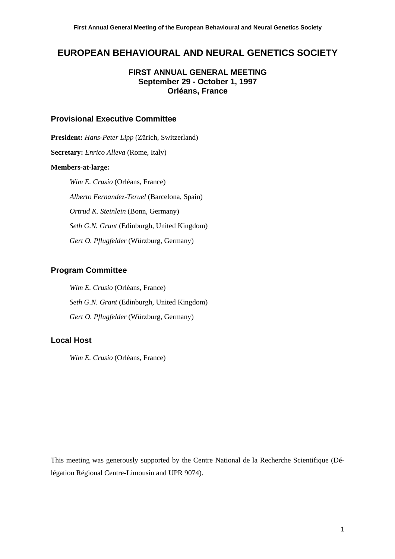# **EUROPEAN BEHAVIOURAL AND NEURAL GENETICS SOCIETY**

# **FIRST ANNUAL GENERAL MEETING September 29 - October 1, 1997 Orléans, France**

# **Provisional Executive Committee**

**President:** *Hans-Peter Lipp* (Zürich, Switzerland) **Secretary:** *Enrico Alleva* (Rome, Italy) **Members-at-large:**   *Wim E. Crusio* (Orléans, France)  *Alberto Fernandez-Teruel* (Barcelona, Spain)  *Ortrud K. Steinlein* (Bonn, Germany)  *Seth G.N. Grant* (Edinburgh, United Kingdom)  *Gert O. Pflugfelder* (Würzburg, Germany)

# **Program Committee**

 *Wim E. Crusio* (Orléans, France)  *Seth G.N. Grant* (Edinburgh, United Kingdom)  *Gert O. Pflugfelder* (Würzburg, Germany)

# **Local Host**

 *Wim E. Crusio* (Orléans, France)

This meeting was generously supported by the Centre National de la Recherche Scientifique (Délégation Régional Centre-Limousin and UPR 9074).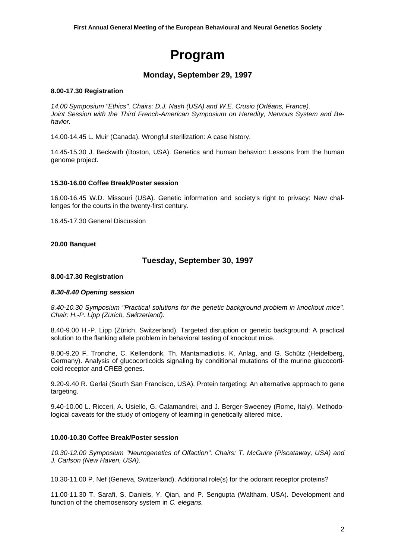# **Program**

# **Monday, September 29, 1997**

#### **8.00-17.30 Registration**

*14.00 Symposium "Ethics". Chairs: D.J. Nash (USA) and W.E. Crusio (Orléans, France). Joint Session with the Third French-American Symposium on Heredity, Nervous System and Behavior.* 

14.00-14.45 L. Muir (Canada). Wrongful sterilization: A case history.

14.45-15.30 J. Beckwith (Boston, USA). Genetics and human behavior: Lessons from the human genome project.

#### **15.30-16.00 Coffee Break/Poster session**

16.00-16.45 W.D. Missouri (USA). Genetic information and society's right to privacy: New challenges for the courts in the twenty-first century.

16.45-17.30 General Discussion

#### **20.00 Banquet**

# **Tuesday, September 30, 1997**

#### **8.00-17.30 Registration**

#### *8.30-8.40 Opening session*

*8.40-10.30 Symposium "Practical solutions for the genetic background problem in knockout mice". Chair: H.-P. Lipp (Zürich, Switzerland).* 

8.40-9.00 H.-P. Lipp (Zürich, Switzerland). Targeted disruption or genetic background: A practical solution to the flanking allele problem in behavioral testing of knockout mice.

9.00-9.20 F. Tronche, C. Kellendonk, Th. Mantamadiotis, K. Anlag, and G. Schütz (Heidelberg, Germany). Analysis of glucocorticoids signaling by conditional mutations of the murine glucocorticoid receptor and CREB genes.

9.20-9.40 R. Gerlai (South San Francisco, USA). Protein targeting: An alternative approach to gene targeting.

9.40-10.00 L. Ricceri, A. Usiello, G. Calamandrei, and J. Berger-Sweeney (Rome, Italy). Methodological caveats for the study of ontogeny of learning in genetically altered mice.

#### **10.00-10.30 Coffee Break/Poster session**

*10.30-12.00 Symposium "Neurogenetics of Olfaction". Chairs: T. McGuire (Piscataway, USA) and J. Carlson (New Haven, USA).* 

10.30-11.00 P. Nef (Geneva, Switzerland). Additional role(s) for the odorant receptor proteins?

11.00-11.30 T. Sarafi, S. Daniels, Y. Qian, and P. Sengupta (Waltham, USA). Development and function of the chemosensory system in *C. elegans.*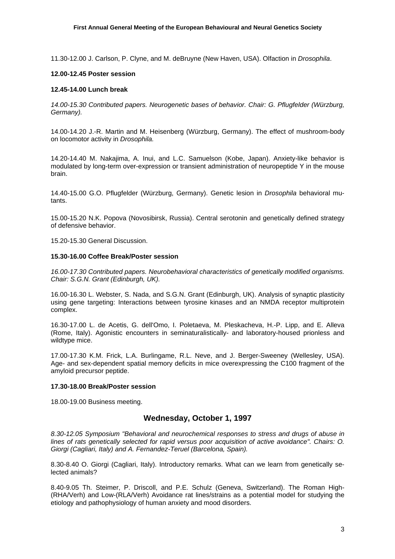11.30-12.00 J. Carlson, P. Clyne, and M. deBruyne (New Haven, USA). Olfaction in *Drosophila*.

#### **12.00-12.45 Poster session**

#### **12.45-14.00 Lunch break**

*14.00-15.30 Contributed papers. Neurogenetic bases of behavior. Chair: G. Pflugfelder (Würzburg, Germany).* 

14.00-14.20 J.-R. Martin and M. Heisenberg (Würzburg, Germany). The effect of mushroom-body on locomotor activity in *Drosophila.* 

14.20-14.40 M. Nakajima, A. Inui, and L.C. Samuelson (Kobe, Japan). Anxiety-like behavior is modulated by long-term over-expression or transient administration of neuropeptide Y in the mouse brain.

14.40-15.00 G.O. Pflugfelder (Würzburg, Germany). Genetic lesion in *Drosophila* behavioral mutants.

15.00-15.20 N.K. Popova (Novosibirsk, Russia). Central serotonin and genetically defined strategy of defensive behavior.

15.20-15.30 General Discussion.

#### **15.30-16.00 Coffee Break/Poster session**

*16.00-17.30 Contributed papers. Neurobehavioral characteristics of genetically modified organisms. Chair: S.G.N. Grant (Edinburgh, UK).* 

16.00-16.30 L. Webster, S. Nada, and S.G.N. Grant (Edinburgh, UK). Analysis of synaptic plasticity using gene targeting: Interactions between tyrosine kinases and an NMDA receptor multiprotein complex.

16.30-17.00 L. de Acetis, G. dell'Omo, I. Poletaeva, M. Pleskacheva, H.-P. Lipp, and E. Alleva (Rome, Italy). Agonistic encounters in seminaturalistically- and laboratory-housed prionless and wildtype mice.

17.00-17.30 K.M. Frick, L.A. Burlingame, R.L. Neve, and J. Berger-Sweeney (Wellesley, USA). Age- and sex-dependent spatial memory deficits in mice overexpressing the C100 fragment of the amyloid precursor peptide.

#### **17.30-18.00 Break/Poster session**

18.00-19.00 Business meeting.

# **Wednesday, October 1, 1997**

*8.30-12.05 Symposium "Behavioral and neurochemical responses to stress and drugs of abuse in lines of rats genetically selected for rapid versus poor acquisition of active avoidance". Chairs: O. Giorgi (Cagliari, Italy) and A. Fernandez-Teruel (Barcelona, Spain).* 

8.30-8.40 O. Giorgi (Cagliari, Italy). Introductory remarks. What can we learn from genetically selected animals?

8.40-9.05 Th. Steimer, P. Driscoll, and P.E. Schulz (Geneva, Switzerland). The Roman High- (RHA/Verh) and Low-(RLA/Verh) Avoidance rat lines/strains as a potential model for studying the etiology and pathophysiology of human anxiety and mood disorders.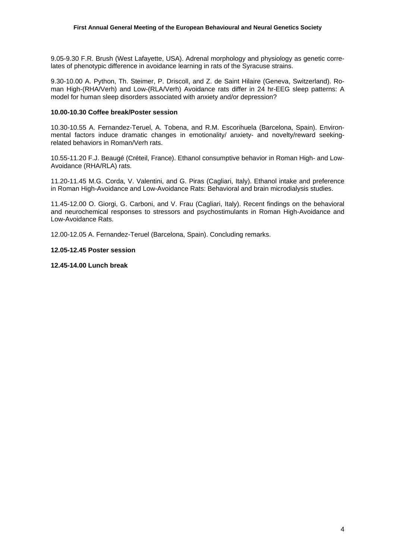9.05-9.30 F.R. Brush (West Lafayette, USA). Adrenal morphology and physiology as genetic correlates of phenotypic difference in avoidance learning in rats of the Syracuse strains.

9.30-10.00 A. Python, Th. Steimer, P. Driscoll, and Z. de Saint Hilaire (Geneva, Switzerland). Roman High-(RHA/Verh) and Low-(RLA/Verh) Avoidance rats differ in 24 hr-EEG sleep patterns: A model for human sleep disorders associated with anxiety and/or depression?

#### **10.00-10.30 Coffee break/Poster session**

10.30-10.55 A. Fernandez-Teruel, A. Tobena, and R.M. Escorihuela (Barcelona, Spain). Environmental factors induce dramatic changes in emotionality/ anxiety- and novelty/reward seekingrelated behaviors in Roman/Verh rats.

10.55-11.20 F.J. Beaugé (Créteil, France). Ethanol consumptive behavior in Roman High- and Low-Avoidance (RHA/RLA) rats.

11.20-11.45 M.G. Corda, V. Valentini, and G. Piras (Cagliari, Italy). Ethanol intake and preference in Roman High-Avoidance and Low-Avoidance Rats: Behavioral and brain microdialysis studies.

11.45-12.00 O. Giorgi, G. Carboni, and V. Frau (Cagliari, Italy). Recent findings on the behavioral and neurochemical responses to stressors and psychostimulants in Roman High-Avoidance and Low-Avoidance Rats.

12.00-12.05 A. Fernandez-Teruel (Barcelona, Spain). Concluding remarks.

#### **12.05-12.45 Poster session**

**12.45-14.00 Lunch break**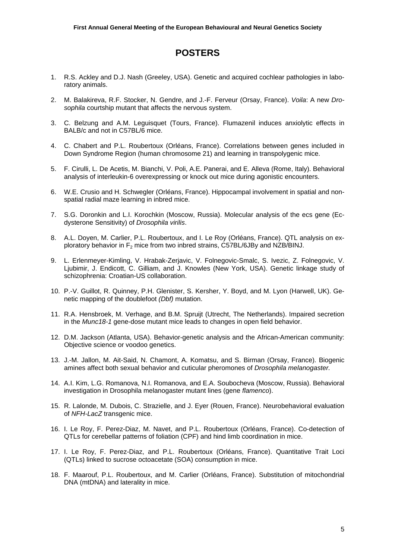# **POSTERS**

- 1. R.S. Ackley and D.J. Nash (Greeley, USA). Genetic and acquired cochlear pathologies in laboratory animals.
- 2. M. Balakireva, R.F. Stocker, N. Gendre, and J.-F. Ferveur (Orsay, France). *Voila*: A new *Drosophila* courtship mutant that affects the nervous system.
- 3. C. Belzung and A.M. Leguisquet (Tours, France). Flumazenil induces anxiolytic effects in BALB/c and not in C57BL/6 mice.
- 4. C. Chabert and P.L. Roubertoux (Orléans, France). Correlations between genes included in Down Syndrome Region (human chromosome 21) and learning in transpolygenic mice.
- 5. F. Cirulli, L. De Acetis, M. Bianchi, V. Poli, A.E. Panerai, and E. Alleva (Rome, Italy). Behavioral analysis of interleukin-6 overexpressing or knock out mice during agonistic encounters.
- 6. W.E. Crusio and H. Schwegler (Orléans, France). Hippocampal involvement in spatial and nonspatial radial maze learning in inbred mice.
- 7. S.G. Doronkin and L.I. Korochkin (Moscow, Russia). Molecular analysis of the ecs gene (Ecdysterone Sensitivity) of *Drosophila virilis*.
- 8. A.L. Doyen, M. Carlier, P.L. Roubertoux, and I. Le Roy (Orléans, France). QTL analysis on exploratory behavior in  $F_2$  mice from two inbred strains, C57BL/6JBy and NZB/BINJ.
- 9. L. Erlenmeyer-Kimling, V. Hrabak-Zerjavic, V. Folnegovic-Smalc, S. Ivezic, Z. Folnegovic, V. Ljubimir, J. Endicott, C. Gilliam, and J. Knowles (New York, USA). Genetic linkage study of schizophrenia: Croatian-US collaboration.
- 10. P.-V. Guillot, R. Quinney, P.H. Glenister, S. Kersher, Y. Boyd, and M. Lyon (Harwell, UK). Genetic mapping of the doublefoot *(Dbf)* mutation.
- 11. R.A. Hensbroek, M. Verhage, and B.M. Spruijt (Utrecht, The Netherlands). Impaired secretion in the *Munc18-1* gene-dose mutant mice leads to changes in open field behavior.
- 12. D.M. Jackson (Atlanta, USA). Behavior-genetic analysis and the African-American community: Objective science or voodoo genetics.
- 13. J.-M. Jallon, M. Ait-Said, N. Chamont, A. Komatsu, and S. Birman (Orsay, France). Biogenic amines affect both sexual behavior and cuticular pheromones of *Drosophila melanogaster.*
- 14. A.I. Kim, L.G. Romanova, N.I. Romanova, and E.A. Soubocheva (Moscow, Russia). Behavioral investigation in Drosophila melanogaster mutant lines (gene *flamenco*).
- 15. R. Lalonde, M. Dubois, C. Strazielle, and J. Eyer (Rouen, France). Neurobehavioral evaluation of *NFH-LacZ* transgenic mice.
- 16. I. Le Roy, F. Perez-Diaz, M. Navet, and P.L. Roubertoux (Orléans, France). Co-detection of QTLs for cerebellar patterns of foliation (CPF) and hind limb coordination in mice.
- 17. I. Le Roy, F. Perez-Diaz, and P.L. Roubertoux (Orléans, France). Quantitative Trait Loci (QTLs) linked to sucrose octoacetate (SOA) consumption in mice.
- 18. F. Maarouf, P.L. Roubertoux, and M. Carlier (Orléans, France). Substitution of mitochondrial DNA (mtDNA) and laterality in mice.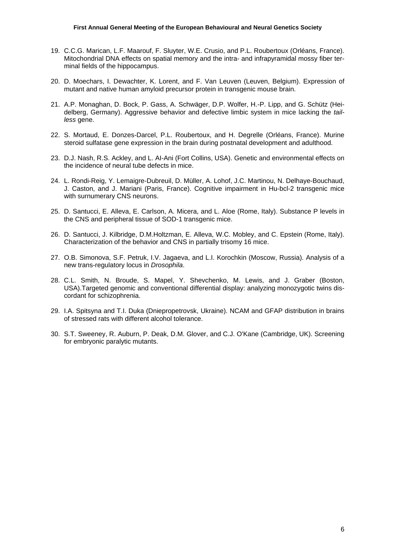- 19. C.C.G. Marican, L.F. Maarouf, F. Sluyter, W.E. Crusio, and P.L. Roubertoux (Orléans, France). Mitochondrial DNA effects on spatial memory and the intra- and infrapyramidal mossy fiber terminal fields of the hippocampus.
- 20. D. Moechars, I. Dewachter, K. Lorent, and F. Van Leuven (Leuven, Belgium). Expression of mutant and native human amyloid precursor protein in transgenic mouse brain.
- 21. A.P. Monaghan, D. Bock, P. Gass, A. Schwäger, D.P. Wolfer, H.-P. Lipp, and G. Schütz (Heidelberg, Germany). Aggressive behavior and defective limbic system in mice lacking the *tailless* gene.
- 22. S. Mortaud, E. Donzes-Darcel, P.L. Roubertoux, and H. Degrelle (Orléans, France). Murine steroid sulfatase gene expression in the brain during postnatal development and adulthood.
- 23. D.J. Nash, R.S. Ackley, and L. AI-Ani (Fort Collins, USA). Genetic and environmental effects on the incidence of neural tube defects in mice.
- 24. L. Rondi-Reig, Y. Lemaigre-Dubreuil, D. Müller, A. Lohof, J.C. Martinou, N. Delhaye-Bouchaud, J. Caston, and J. Mariani (Paris, France). Cognitive impairment in Hu-bcl-2 transgenic mice with surnumerary CNS neurons.
- 25. D. Santucci, E. Alleva, E. Carlson, A. Micera, and L. Aloe (Rome, Italy). Substance P levels in the CNS and peripheral tissue of SOD-1 transgenic mice.
- 26. D. Santucci, J. Kilbridge, D.M.Holtzman, E. Alleva, W.C. Mobley, and C. Epstein (Rome, Italy). Characterization of the behavior and CNS in partially trisomy 16 mice.
- 27. O.B. Simonova, S.F. Petruk, I.V. Jagaeva, and L.I. Korochkin (Moscow, Russia). Analysis of a new trans-regulatory locus in *Drosophila*.
- 28. C.L. Smith, N. Broude, S. Mapel, Y. Shevchenko, M. Lewis, and J. Graber (Boston, USA).Targeted genomic and conventional differential display: analyzing monozygotic twins discordant for schizophrenia.
- 29. I.A. Spitsyna and T.I. Duka (Dniepropetrovsk, Ukraine). NCAM and GFAP distribution in brains of stressed rats with different alcohol tolerance.
- 30. S.T. Sweeney, R. Auburn, P. Deak, D.M. Glover, and C.J. O'Kane (Cambridge, UK). Screening for embryonic paralytic mutants.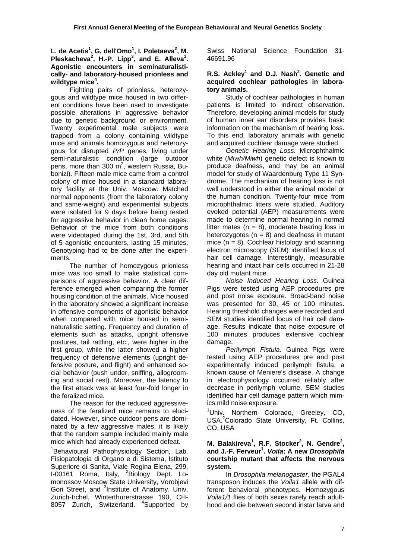L. de Acetis<sup>1</sup>, G. dell'Omo<sup>1</sup>, I. Poletaeva<sup>2</sup>, M. **Pleskacheva<sup>2</sup>, H.-P. Lipp<sup>3</sup>, and E. Alleva<sup>1</sup>. Agonistic encounters in seminaturalistically- and laboratory-housed prionless and wildtype mice4 .** 

 Fighting pairs of prionless, heterozygous and wildtype mice housed in two different conditions have been used to investigate possible alterations in aggressive behavior due to genetic background or environment. Twenty experimental male subjects were trapped from a colony containing wildtype mice and animals homozygous and heterozygous for disrupted *PrP* genes, living under semi-naturalistic condition (large outdoor pens, more than 300 m<sup>2</sup>, western Russia, Bubonizi). Fifteen male mice came from a control colony of mice housed in a standard laboratory facility at the Univ. Moscow. Matched normal opponents (from the laboratory colony and same-weight) and experimental subjects were isolated for 9 days before being tested for aggressive behavior in clean home cages. Behavior of the mice from both conditions were videotaped during the 1st, 3rd, and 5th of 5 agonistic encounters, lasting 15 minutes. Genotyping had to be done after the experiments.

 The number of homozygous prionless mice was too small to make statistical comparisons of aggressive behavior. A clear difference emerged when comparing the former housing condition of the animals. Mice housed in the laboratory showed a significant increase in offensive components of agonistic behavior when compared with mice housed in seminaturalistic setting. Frequency and duration of elements such as attacks, upright offensive postures, tail rattling, etc., were higher in the first group, while the latter showed a higher frequency of defensive elements (upright defensive posture, and flight) and enhanced social behavior (push under, sniffing, allogrooming and social rest). Moreover, the latency to the first attack was at least four-fold longer in the feralized mice.

 The reason for the reduced aggressiveness of the feralized mice remains to elucidated. However, since outdoor pens are dominated by a few aggressive males, it is likely that the random sample included mainly male mice which had already experienced defeat.

<sup>1</sup>Behavioural Pathophysiology Section, Lab. Fisiopatologia di Organo e di Sistema, Istituto Superiore di Sanita, Viale Regina Elena, 299, I-00161 Roma, Italy, <sup>2</sup>Biology Dept. Lomonossov Moscow State University, Vorobjevi Gori Street, and <sup>3</sup>Institute of Anatomy, Univ. Zurich-Irchel, Winterthurerstrasse 190, CH-8057 Zurich, Switzerland. <sup>4</sup>Supported by Swiss National Science Foundation 31- 46691.96

# R.S. Ackley<sup>1</sup> and D.J. Nash<sup>2</sup>. Genetic and **acquired cochlear pathologies in laboratory animals.**

 Study of cochlear pathologies in human patients is limited to indirect observation. Therefore, developing animal models for study of human inner ear disorders provides basic information on the mechanism of hearing loss. To this end, laboratory animals with genetic and acquired cochlear damage were studied.

*Genetic Hearing Loss.* Microphthalmic white (*Miwh/Miwh*) genetic defect is known to produce deafness, and may be an animal model for study of Waardenburg Type 11 Syndrome. The mechanism of hearing loss is not well understood in either the animal model or the human condition. Twenty-four mice from microphthalmic litters were studied. Auditory evoked potential (AEP) measurements were made to determine normal hearing in normal litter mates ( $n = 8$ ), moderate hearing loss in heterozygotes  $(n = 8)$  and deafness in mutant mice  $(n = 8)$ . Cochlear histology and scanning electron microscopy (SEM) identified locus of hair cell damage. Interestingly, measurable hearing and intact hair cells occurred in 21-28 day old mutant mice.

*Noise Induced Hearing Loss.* Guinea Pigs were tested using AEP procedures pre and post noise exposure. Broad-band noise was presented for 30, 45 or 100 minutes. Hearing threshold changes were recorded and SEM studies identified locus of hair cell damage. Results indicate that noise exposure of 100 minutes produces extensive cochlear damage.

*Perilymph Fistula.* Guinea Pigs were tested using AEP procedures pre and post experimentally induced perilymph fistula, a known cause of Meniere's disease. A change in electrophysiology occurred reliably after decrease in perilymph volume. SEM studies identified hair cell damage pattern which mimics mild noise exposure.

<sup>1</sup>Univ. Northern Colorado, Greeley, CO, USA.<sup>2</sup>Colorado State University, Ft. Collins, CO, USA

#### **M. Balakireva<sup>1</sup>, R.F. Stocker<sup>2</sup>, N. Gendre<sup>2</sup>, and J.-F. Ferveur<sup>1</sup> .** *Voila***: A new** *Drosophila* **courtship mutant that affects the nervous system.**

In *Drosophila melanogaster*, the PGAL4 transposon induces the *Voila1* allele with different behavioral phenotypes. Homozygous *Voila1/1* flies of both sexes rarely reach adulthood and die between second instar larva and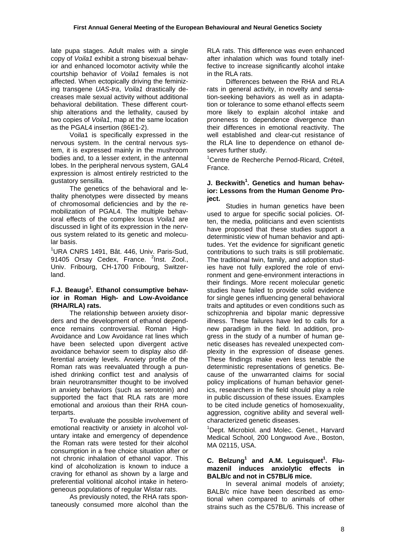late pupa stages. Adult males with a single copy of *Voila1* exhibit a strong bisexual behavior and enhanced locomotor activity while the courtship behavior of *Voila1* females is not affected. When ectopically driving the feminizing transgene *UAS-tra*, *Voila1* drastically decreases male sexual activity without additional behavioral debilitation. These different courtship alterations and the lethality, caused by two copies of *Voila1*, map at the same location as the PGAL4 insertion (86E1-2).

 Voila1 is specifically expressed in the nervous system. In the central nervous system, it is expressed mainly in the mushroom bodies and, to a lesser extent, in the antennal lobes. In the peripheral nervous system, GAL4 expression is almost entirely restricted to the gustatory sensilla.

 The genetics of the behavioral and lethality phenotypes were dissected by means of chromosomal deficiencies and by the remobilization of PGAL4. The multiple behavioral effects of the complex locus *Voila1* are discussed in light of its expression in the nervous system related to its genetic and molecular basis.

<sup>1</sup>URA CNRS 1491, Bât. 446, Univ. Paris-Sud, 91405 Orsay Cedex, France. <sup>2</sup>Inst. Zool., Univ. Fribourg, CH-1700 Fribourg, Switzerland.

## **F.J. Beaugé<sup>1</sup> . Ethanol consumptive behavior in Roman High- and Low-Avoidance (RHA/RLA) rats.**

 The relationship between anxiety disorders and the development of ethanol dependence remains controversial. Roman High-Avoidance and Low Avoidance rat lines which have been selected upon divergent active avoidance behavior seem to display also differential anxiety levels. Anxiety profile of the Roman rats was reevaluated through a punished drinking conflict test and analysis of brain neurotransmitter thought to be involved in anxiety behaviors (such as serotonin) and supported the fact that RLA rats are more emotional and anxious than their RHA counterparts

 To evaluate the possible involvement of emotional reactivity or anxiety in alcohol voluntary intake and emergency of dependence the Roman rats were tested for their alcohol consumption in a free choice situation after or not chronic inhalation of ethanol vapor. This kind of alcoholization is known to induce a craving for ethanol as shown by a large and preferential volitional alcohol intake in heterogeneous populations of regular Wistar rats.

 As previously noted, the RHA rats spontaneously consumed more alcohol than the RLA rats. This difference was even enhanced after inhalation which was found totally ineffective to increase significantly alcohol intake in the RLA rats.

 Differences between the RHA and RLA rats in general activity, in novelty and sensation-seeking behaviors as well as in adaptation or tolerance to some ethanol effects seem more likely to explain alcohol intake and proneness to dependence divergence than their differences in emotional reactivity. The well established and clear-cut resistance of the RLA line to dependence on ethanol deserves further study.

1 Centre de Recherche Pernod-Ricard, Créteil, France.

## **J. Beckwith<sup>1</sup>. Genetics and human behavior: Lessons from the Human Genome Project.**

 Studies in human genetics have been used to argue for specific social policies. Often, the media, politicians and even scientists have proposed that these studies support a deterministic view of human behavior and aptitudes. Yet the evidence for significant genetic contributions to such traits is still problematic. The traditional twin, family, and adoption studies have not fully explored the role of environment and gene-environment interactions in their findings. More recent molecular genetic studies have failed to provide solid evidence for single genes influencing general behavioral traits and aptitudes or even conditions such as schizophrenia and bipolar manic depressive illness. These failures have led to calls for a new paradigm in the field. In addition, progress in the study of a number of human genetic diseases has revealed unexpected complexity in the expression of disease genes. These findings make even less tenable the deterministic representations of genetics. Because of the unwarranted claims for social policy implications of human behavior genetics, researchers in the field should play a role in public discussion of these issues. Examples to be cited include genetics of homosexuality, aggression, cognitive ability and several wellcharacterized genetic diseases.

<sup>1</sup>Dept. Microbiol. and Molec. Genet., Harvard Medical School, 200 Longwood Ave., Boston, MA 02115, USA.

## **C.** Belzung<sup>1</sup> and A.M. Leguisquet<sup>1</sup>. Flu**mazenil induces anxiolytic effects in BALB/c and not in C57BL/6 mice.**

 In several animal models of anxiety; BALB/c mice have been described as emotional when compared to animals of other strains such as the C57BL/6. This increase of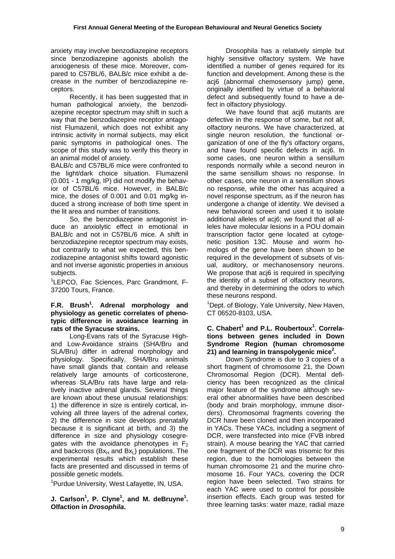anxiety may involve benzodiazepine receptors since benzodiazepine agonists abolish the anxiogenesis of these mice. Moreover, compared to C57BL/6, BALB/c mice exhibit a decrease in the number of benzodiazepine receptors.

 Recently, it has been suggested that in human pathological anxiety, the benzodiazepine receptor spectrum may shift in such a way that the benzodiazepine receptor antagonist Flumazenil, which does not exhibit any intrinsic activity in normal subjects, may elicit panic symptoms in pathological ones. The scope of this study was to verify this theory in an animal model of anxiety.

BALB/c and C57BL/6 mice were confronted to the light/dark choice situation. Flumazenil (0.001 - 1 mg/kg, IP) did not modify the behavior of C57BL/6 mice. However, in BALB/c mice, the doses of 0.001 and 0.01 mg/kg induced a strong increase of both time spent in the lit area and number of transitions.

 So, the benzodiazepine antagonist induce an anxiolytic effect in emotional in BALB/c and not in C57BL/6 mice. A shift in benzodiazepine receptor spectrum may exists, but contrarily to what we expected, this benzodiazepine antagonist shifts toward agonistic and not inverse agonistic properties in anxious subjects.

<sup>1</sup>LEPCO, Fac Sciences, Parc Grandmont, F-37200 Tours, France.

# **F.R. Brush1 . Adrenal morphology and physiology as genetic correlates of phenotypic difference in avoidance learning in rats of the Syracuse strains.**

 Long-Evans rats of the Syracuse Highand Low-Avoidance strains (SHA/Bru and SLA/Bru) differ in adrenal morphology and physiology. Specifically, SHA/Bru animals have small glands that contain and release relatively large amounts of corticosterone, whereas SLA/Bru rats have large and relatively inactive adrenal glands. Several things are known about these unusual relationships: 1) the difference in size is entirely cortical, involving all three layers of the adrenal cortex, 2) the difference in size develops prenatally because it is significant at birth, and 3) the difference in size and physiology cosegregates with the avoidance phenotypes in  $F_2$ and backcross ( $Bx_H$  and  $Bx_L$ ) populations. The experimental results which establish these facts are presented and discussed in terms of possible genetic models.

<sup>1</sup>Purdue University, West Lafayette, IN, USA.

**J. Carlson<sup>1</sup>, P. Clyne<sup>1</sup>, and M. deBruyne<sup>1</sup>. Olfaction in** *Drosophila***.** 

 Drosophila has a relatively simple but highly sensitive olfactory system. We have identified a number of genes required for its function and development. Among these is the acj6 (abnormal chemosensory jump) gene, originally identified by virtue of a behavioral defect and subsequently found to have a defect in olfactory physiology.

We have found that aci6 mutants are defective in the response of some, but not all, olfactory neurons. We have characterized, at single neuron resolution, the functional organization of one of the fly's olfactory organs, and have found specific defects in acj6. In some cases, one neuron within a sensillum responds normally while a second neuron in the same sensillum shows no response. In other cases, one neuron in a sensillum shows no response, while the other has acquired a novel response spectrum, as if the neuron has undergone a change of identity. We devised a new behavioral screen and used it to isolate additional alleles of acj6; we found that all alleles have molecular lesions in a POU domain transcription factor gene located at cytogenetic position 13C. Mouse and worm homologs of the gene have been shown to be required in the development of subsets of visual, auditory, or mechanosensory neurons. We propose that acj6 is required in specifying the identity of a subset of olfactory neurons, and thereby in determining the odors to which these neurons respond.

<sup>1</sup>Dept. of Biology, Yale University, New Haven, CT 06520-8103, USA.

#### **C.** Chabert<sup>1</sup> and P.L. Roubertoux<sup>1</sup>. Correla**tions between genes included in Down Syndrome Region (human chromosome 21) and learning in transpolygenic mice<sup>2</sup> .**

 Down Syndrome is due to 3 copies of a short fragment of chromosome 21, the Down Chromosomal Region (DCR). Mental deficiency has been recognized as the clinical major feature of the syndrome although several other abnormalities have been described (body and brain morphology, immune disorders). Chromosomal fragments covering the DCR have been cloned and then incorporated in YACs. These YACs, including a segment of DCR, were transfected into mice (FVB inbred strain). A mouse bearing the YAC that carried one fragment of the DCR was trisomic for this region, due to the homologies between the human chromosome 21 and the murine chromosome 16. Four YACs, covering the DCR region have been selected. Two strains for each YAC were used to control for possible insertion effects. Each group was tested for three learning tasks: water maze, radial maze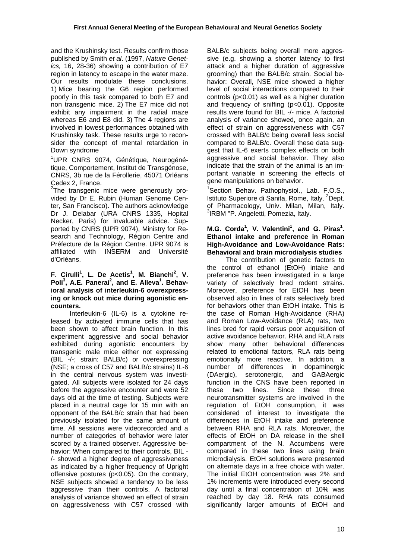and the Krushinsky test. Results confirm those published by Smith *et al*. (1997, *Nature Genetics,* 16, 28-36) showing a contribution of E7 region in latency to escape in the water maze. Our results modulate these conclusions. 1) Mice bearing the G6 region performed poorly in this task compared to both E7 and non transgenic mice. 2) The E7 mice did not exhibit any impairment in the radial maze whereas E6 and E8 did. 3) The 4 regions are involved in lowest performances obtained with Krushinsky task. These results urge to reconsider the concept of mental retardation in Down syndrome

<sup>1</sup>UPR CNRS 9074, Génétique, Neurogénétique, Comportement, Institut de Transgénose, CNRS, 3b rue de la Férollerie, 45071 Orléans Cedex 2, France.

<sup>2</sup>The transgenic mice were generously provided by Dr E. Rubin (Human Genome Center, San Francisco). The authors acknowledge Dr J. Delabar (URA CNRS 1335, Hopital Necker, Paris) for invaluable advice. Supported by CNRS (UPR 9074), Ministry for Research and Technology, Région Centre and Préfecture de la Région Centre. UPR 9074 is affiliated with INSERM and Université d'Orléans.

### **F. Cirulli<sup>1</sup>, L. De Acetis<sup>1</sup>, M. Bianchi<sup>2</sup>, V.** Poli<sup>3</sup>, A.E. Panerai<sup>2</sup>, and E. Alleva<sup>1</sup>. Behav**ioral analysis of interleukin-6 overexpressing or knock out mice during agonistic encounters.**

 Interleukin-6 (IL-6) is a cytokine released by activated immune cells that has been shown to affect brain function. In this experiment aggressive and social behavior exhibited during agonistic encounters by transgenic male mice either not expressing (BIL -/-; strain: BALB/c) or overexpressing (NSE; a cross of C57 and BALB/c strains) IL-6 in the central nervous system was investigated. All subjects were isolated for 24 days before the aggressive encounter and were 52 days old at the time of testing. Subjects were placed in a neutral cage for 15 min with an opponent of the BALB/c strain that had been previously isolated for the same amount of time. All sessions were videorecorded and a number of categories of behavior were later scored by a trained observer. Aggressive behavior: When compared to their controls, BIL - /- showed a higher degree of aggressiveness as indicated by a higher frequency of Upright offensive postures (p<0.05). On the contrary, NSE subjects showed a tendency to be less aggressive than their controls. A factorial analysis of variance showed an effect of strain on aggressiveness with C57 crossed with

BALB/c subjects being overall more aggressive (e.g. showing a shorter latency to first attack and a higher duration of aggressive grooming) than the BALB/c strain. Social behavior: Overall, NSE mice showed a higher level of social interactions compared to their controls (p<0.01) as well as a higher duration and frequency of sniffing (p<0.01). Opposite results were found for BIL -/- mice. A factorial analysis of variance showed, once again, an effect of strain on aggressiveness with C57 crossed with BALB/c being overall less social compared to BALB/c. Overall these data suggest that IL-6 exerts complex effects on both aggressive and social behavior. They also indicate that the strain of the animal is an important variable in screening the effects of gene manipulations on behavior.

<sup>1</sup>Section Behav. Pathophysiol., Lab. F.O.S., Istituto Superiore di Sanita, Rome, Italy. <sup>2</sup>Dept. of Pharmacology, Univ. Milan, Milan, Italy. 3 IRBM "P. Angeletti, Pomezia, Italy.

#### **M.G. Corda<sup>1</sup>, V. Valentini<sup>1</sup>, and G. Piras<sup>1</sup>. Ethanol intake and preference in Roman High-Avoidance and Low-Avoidance Rats: Behavioral and brain microdialysis studies**

 The contribution of genetic factors to the control of ethanol (EtOH) intake and preference has been investigated in a large variety of selectively bred rodent strains. Moreover, preference for EtOH has been observed also in lines of rats selectively bred for behaviors other than EtOH intake. This is the case of Roman High-Avoidance (RHA) and Roman Low-Avoidance (RLA) rats, two lines bred for rapid versus poor acquisition of active avoidance behavior. RHA and RLA rats show many other behavioral differences related to emotional factors, RLA rats being emotionally more reactive. In addition, a number of differences in dopaminergic (DAergic), serotonergic, and GABAergic function in the CNS have been reported in these two lines. Since these three neurotransmitter systems are involved in the regulation of EtOH consumption, it was considered of interest to investigate the differences in EtOH intake and preference between RHA and RLA rats. Moreover, the effects of EtOH on DA release in the shell compartment of the N. Accumbens were compared in these two lines using brain microdialysis. EtOH solutions were presented on alternate days in a free choice with water. The initial EtOH concentration was 2% and 1% increments were introduced every second day until a final concentration of 10% was reached by day 18. RHA rats consumed significantly larger amounts of EtOH and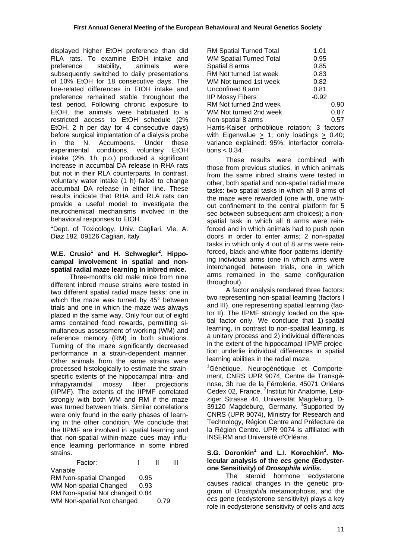displayed higher EtOH preference than did RLA rats. To examine EtOH intake and preference stability, animals were subsequently switched to daily presentations of 10% EtOH for 18 consecutive days. The line-related differences in EtOH intake and preference remained stable throughout the test period. Following chronic exposure to EtOH, the animals were habituated to a restricted access to EtOH schedule (2% EtOH, 2 h per day for 4 consecutive days) before surgical implantation of a dialysis probe in the N. Accumbens. Under these experimental conditions, voluntary EtOH intake (2%, 1h, p.o.) produced a significant increase in accumbal DA release in RHA rats but not in their RLA counterparts. In contrast, voluntary water intake (1 h) failed to change accumbal DA release in either line. These results indicate that RHA and RLA rats can provide a useful model to investigate the neurochemical mechanisms involved in the behavioral responses to EtOH.

<sup>1</sup>Dept. of Toxicology, Univ. Cagliari. Vle. A. Diaz 182, 09126 Cagliari, Italy

# W.E. Crusio<sup>1</sup> and H. Schwegler<sup>2</sup>. Hippo**campal involvement in spatial and nonspatial radial maze learning in inbred mice.**

 Three-months old male mice from nine different inbred mouse strains were tested in two different spatial radial maze tasks: one in which the maze was turned by 45° between trials and one in which the maze was always placed in the same way. Only four out of eight arms contained food rewards, permitting simultaneous assessment of working (WM) and reference memory (RM) in both situations. Turning of the maze significantly decreased performance in a strain-dependent manner. Other animals from the same strains were processed histologically to estimate the strainspecific extents of the hippocampal intra- and infrapyramidal mossy fiber projections (IIPMF). The extents of the IIPMF correlated strongly with both WM and RM if the maze was turned between trials. Similar correlations were only found in the early phases of learning in the other condition. We conclude that the IIPMF are involved in spatial learning and that non-spatial within-maze cues may influence learning performance in some inbred strains.

| Factor:                         |      |      | Ш |
|---------------------------------|------|------|---|
| Variable                        |      |      |   |
| RM Non-spatial Changed          | 0.95 |      |   |
| WM Non-spatial Changed          | 0.93 |      |   |
| RM Non-spatial Not changed 0.84 |      |      |   |
| WM Non-spatial Not changed      |      | 0.79 |   |

| RM Spatial Turned Total                              | 1.01    |  |  |  |
|------------------------------------------------------|---------|--|--|--|
| <b>WM Spatial Turned Total</b>                       | 0.95    |  |  |  |
| Spatial 8 arms                                       | 0.85    |  |  |  |
| RM Not turned 1st week                               | 0.83    |  |  |  |
| WM Not turned 1st week                               | 0.82    |  |  |  |
| Unconfined 8 arm                                     | 0.81    |  |  |  |
| <b>IIP Mossy Fibers</b>                              | $-0.92$ |  |  |  |
| RM Not turned 2nd week                               | 0.90    |  |  |  |
| WM Not turned 2nd week                               | 0.87    |  |  |  |
| Non-spatial 8 arms                                   | 0.57    |  |  |  |
| Harris-Kaiser orthoblique rotation; 3 factors        |         |  |  |  |
| with Eigenvalue $\geq$ 1; only loadings $\geq$ 0.40; |         |  |  |  |
| variance explained: 95%; interfactor correla-        |         |  |  |  |
| tions < 0.34.                                        |         |  |  |  |
|                                                      |         |  |  |  |

 These results were combined with those from previous studies, in which animals from the same inbred strains were tested in other, both spatial and non-spatial radial maze tasks: two spatial tasks in which all 8 arms of the maze were rewarded (one with, one without confinement to the central platform for 5 sec between subsequent arm choices); a nonspatial task in which all 8 arms were reinforced and in which animals had to push open doors in order to enter arms; 2 non-spatial tasks in which only 4 out of 8 arms were reinforced, black-and-white floor patterns identifying individual arms (one in which arms were interchanged between trials, one in which arms remained in the same configuration throughout).

 A factor analysis rendered three factors: two representing non-spatial learning (factors I and III), one representing spatial learning (factor II). The IIPMF strongly loaded on the spatial factor only. We conclude that 1) spatial learning, in contrast to non-spatial learning, is a unitary process and 2) individual differences in the extent of the hippocampal IIPMF projection underlie individual differences in spatial learning abilities in the radial maze.

<sup>1</sup>Génétique, Neurogénétique et Comportement, CNRS UPR 9074, Centre de Transgénose, 3b rue de la Férrolerie, 45071 Orléans Cedex 02, France. <sup>2</sup>Institut für Anatomie, Leipziger Strasse 44, Universität Magdeburg, D-39120 Magdeburg, Germany. <sup>3</sup>Supported by CNRS (UPR 9074), Ministry for Research and Technology, Région Centre and Préfecture de la Région Centre. UPR 9074 is affiliated with INSERM and Université d'Orléans.

# **S.G. Doronkin<sup>1</sup> and L.I. Korochkin<sup>1</sup> . Molecular analysis of the** *ecs* **gene (Ecdysterone Sensitivity) of** *Drosophila virilis***.**

 The steroid hormone ecdysterone causes radical changes in the genetic program of *Drosophila* metamorphosis, and the *ecs* gene (ecdysterone sensitivity) plays a key role in ecdysterone sensitivity of cells and acts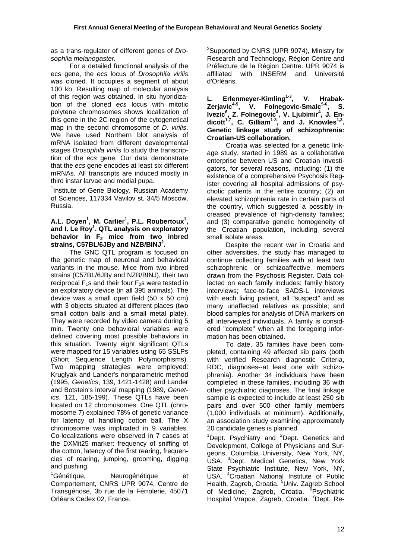as a trans-regulator of different genes of *Drosophila melanogaster.*

 For a detailed functional analysis of the ecs gene, the *ecs* locus of *Drosophila virilis* was cloned. It occupies a segment of about 100 kb. Resulting map of molecular analysis of this region was obtained. In situ hybridization of the cloned *ecs* locus with mitotic polytene chromosomes shows localization of this gene in the 2C-region of the cytogenetical map in the second chromosome of *D. virilis*. We have used Northern blot analysis of mRNA isolated from different developmental stages *Drosophila virilis* to study the transcription of the *ecs* gene. Our data demonstrate that the *ecs* gene encodes at least six different mRNAs. All transcripts are induced mostly in third instar larvae and medial pupa.

<sup>1</sup>Institute of Gene Biology, Russian Academy of Sciences, 117334 Vavilov st. 34/5 Moscow, Russia.

#### A.L. Doyen<sup>1</sup>, M. Carlier<sup>1</sup>, P.L. Roubertoux<sup>1</sup>, **and I. Le Roy1 . QTL analysis on exploratory**  behavior in F<sub>2</sub> mice from two inbred **strains, C57BL/6JBy and NZB/BINJ<sup>2</sup> .**

 The GNC QTL program is focused on the genetic map of neuronal and behavioral variants in the mouse. Mice from two inbred strains (C57BL/6JBy and NZB/BINJ), their two reciprocal  $F_1$ s and their four  $F_2$ s were tested in an exploratory device (in all 395 animals). The device was a small open field (50 x 50 cm) with 3 objects situated at different places (two small cotton balls and a small metal plate). They were recorded by video camera during 5 min. Twenty one behavioral variables were defined covering most possible behaviors in this situation. Twenty eight significant QTLs were mapped for 15 variables using 65 SSLPs (Short Sequence Length Polymorphisms). Two mapping strategies were employed: Kruglyak and Lander's nonparametric method (1995, *Genetics*, 139, 1421-1428) and Lander and Botstein's interval mapping (1989, *Genetics*, 121, 185-199). These QTLs have been located on 12 chromosomes. One QTL (chromosome 7) explained 78% of genetic variance for latency of handling cotton ball. The X chromosome was implicated in 9 variables. Co-localizations were observed in 7 cases at the DXMit25 marker: frequency of sniffing of the cotton, latency of the first rearing, frequencies of rearing, jumping, grooming, digging and pushing.

 $1$ Génétique, Neurogénétique et Comportement, CNRS UPR 9074, Centre de Transgénose, 3b rue de la Férrolerie, 45071 Orléans Cedex 02, France.

<sup>2</sup>Supported by CNRS (UPR 9074), Ministry for Research and Technology, Région Centre and Préfecture de la Région Centre. UPR 9074 is affiliated with INSERM and Université d'Orléans.

L. Erlenmeyer-Kimling<sup>1-3</sup>, V. Hrabak-Zerjavic<sup>4-5</sup>, V. Folnegovic-Smalc<sup>5-6</sup>, S. Ivezic<sup>6</sup>, Z. Folnegovic<sup>4</sup>, V. Ljubimir<sup>4</sup>, J. Endicott<sup>1,7</sup>, C. Gilliam<sup>1-3</sup>, and J. Knowles<sup>1,3</sup>. **Genetic linkage study of schizophrenia: Croatian-US collaboration.** 

 Croatia was selected for a genetic linkage study, started in 1989 as a collaborative enterprise between US and Croatian investigators, for several reasons, including: (1) the existence of a comprehensive Psychosis Register covering all hospital admissions of psychotic patients in the entire country; (2) an elevated schizophrenia rate in certain parts of the country, which suggested a possibly increased prevalence of high-density families; and (3) comparative genetic homogeneity of the Croatian population, including several small isolate areas.

 Despite the recent war in Croatia and other adversities, the study has managed to continue collecting families with at least two schizophrenic or schizoaffective members drawn from the Psychosis Register. Data collected on each family includes: family history interviews; face-to-face SADS-L interviews with each living patient, all "suspect" and as many unaffected relatives as possible; and blood samples for analysis of DNA markers on all interviewed individuals. A family is considered "complete" when all the foregoing information has been obtained.

 To date, 35 families have been completed, containing 49 affected sib pairs (both with verified Research diagnostic Criteria, RDC, diagnoses--at least one with schizophrenia). Another 34 individuals have been completed in these families, including 36 with other psychiatric diagnoses. The final linkage sample is expected to include at least 250 sib pairs and over 500 other family members (1,000 individuals at minimum). Additionally, an association study examining approximately 20 candidate genes is planned.

<sup>1</sup>Dept. Psychiatry and <sup>2</sup>Dept. Genetics and Development, College of Physicians and Surgeons, Columbia University, New York, NY, USA. <sup>3</sup>Dept. Medical Genetics, New York State Psychiatric Institute, New York, NY, USA. <sup>4</sup> Croatian National Institute of Public Health, Zagreb, Croatia. <sup>5</sup>Univ. Zagreb School of Medicine, Zagreb, Croatia. <sup>6</sup>Psychiatric Hospital Vrapce, Zagreb, Croatia. <sup>7</sup>Dept. Re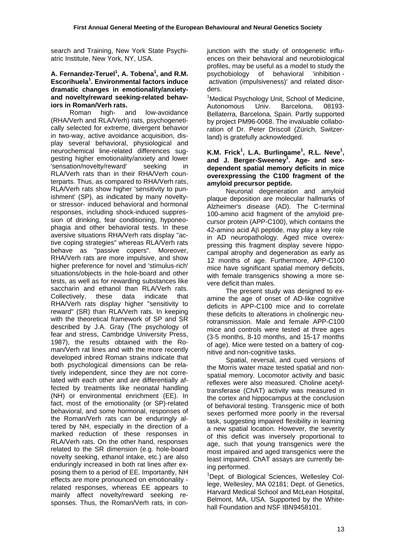search and Training, New York State Psychiatric Institute, New York, NY, USA.

#### A. Fernandez-Teruel<sup>1</sup>, A. Tobena<sup>1</sup>, and R.M. **Escorihuela<sup>1</sup> . Environmental factors induce dramatic changes in emotionality/anxietyand novelty/reward seeking-related behaviors in Roman/Verh rats.**

 Roman high- and low-avoidance (RHA/Verh and RLA/Verh) rats, psychogenetically selected for extreme, divergent behavior in two-way, active avoidance acquisition, display several behavioral, physiological and neurochemical line-related differences suggesting higher emotionality/anxiety and lower 'sensation/novelty/reward' seeking in RLA/Verh rats than in their RHA/Verh counterparts. Thus, as compared to RHA/Verh rats, RLA/Verh rats show higher 'sensitivity to punishment' (SP), as indicated by many noveltyor stressor- induced behavioral and hormonal responses, including shock-induced suppression of drinking, fear conditioning, hyponeophagia and other behavioral tests. In these aversive situations RHA/Verh rats display "active coping strategies" whereas RLA/Verh rats behave as "passive copers". Moreover, RHA/Verh rats are more impulsive, and show higher preference for novel and 'stimulus-rich' situations/objects in the hole-board and other tests, as well as for rewarding substances like saccharin and ethanol than RLA/Verh rats. Collectively, these data indicate that RHA/Verh rats display higher "sensitivity to reward" (SR) than RLA/Verh rats. In keeping with the theoretical framework of SP and SR described by J.A. Gray (The psychology of fear and stress, Cambridge University Press, 1987), the results obtained with the Roman/Verh rat lines and with the more recently developed inbred Roman strains indicate that both psychological dimensions can be relatively independent, since they are not correlated with each other and are differentially affected by treatments like neonatal handling (NH) or environmental enrichment (EE). In fact, most of the emotionality (or SP)-related behavioral, and some hormonal, responses of the Roman/Verh rats can be enduringly altered by NH, especially in the direction of a marked reduction of these responses in RLA/Verh rats. On the other hand, responses related to the SR dimension (e.g. hole-board novelty seeking, ethanol intake, etc.) are also enduringly increased in both rat lines after exposing them to a period of EE. Importantly, NH effects are more pronounced on emotionality related responses, whereas EE appears to mainly affect novelty/reward seeking responses. Thus, the Roman/Verh rats, in conjunction with the study of ontogenetic influences on their behavioral and neurobiological profiles, may be useful as a model to study the psychobiology of behavioral 'inhibition activation (impulsiveness)' and related disorders.

<sup>1</sup>Medical Psychology Unit, School of Medicine, Autonomous Univ. Barcelona, 08193- Bellaterra, Barcelona, Spain. Partly supported by project PM96-0068. The invaluable collaboration of Dr. Peter Driscoll (Zürich, Switzerland) is gratefully acknowledged.

#### **K.M. Frick<sup>1</sup>, L.A. Burlingame<sup>1</sup>, R.L. Neve<sup>1</sup>, and J. Berger-Sweeney1 . Age- and sexdependent spatial memory deficits in mice overexpressing the C100 fragment of the amyloid precursor peptide.**

 Neuronal degeneration and amyloid plaque deposition are molecular hallmarks of Alzheimer's disease (AD). The C-terminal 100-amino acid fragment of the amyloid precursor protein (APP-C100), which contains the 42-amino acid Aβ peptide, may play a key role in AD neuropathology. Aged mice overexpressing this fragment display severe hippocampal atrophy and degeneration as early as 12 months of age. Furthermore, APP-C100 mice have significant spatial memory deficits. with female transgenics showing a more severe deficit than males.

 The present study was designed to examine the age of onset of AD-like cognitive deficits in APP-C100 mice and to correlate these deficits to alterations in cholinergic neurotransmission. Male and female APP-C100 mice and controls were tested at three ages (3-5 months, 8-10 months, and 15-17 months of age). Mice were tested on a battery of cognitive and non-cognitive tasks.

 Spatial, reversal, and cued versions of the Morris water maze tested spatial and nonspatial memory. Locomotor activity and basic reflexes were also measured. Choline acetyltransferase (ChAT) activity was measured in the cortex and hippocampus at the conclusion of behavioral testing. Transgenic mice of both sexes performed more poorly in the reversal task, suggesting impaired flexibility in learning a new spatial location. However, the severity of this deficit was inversely proportional to age, such that young transgenics were the most impaired and aged transgenics were the least impaired. ChAT assays are currently being performed.

<sup>1</sup>Dept. of Biological Sciences, Wellesley College, Wellesley, MA 02181; Dept. of Genetics, Harvard Medical School and McLean Hospital, Belmont, MA, USA. Supported by the Whitehall Foundation and NSF IBN9458101.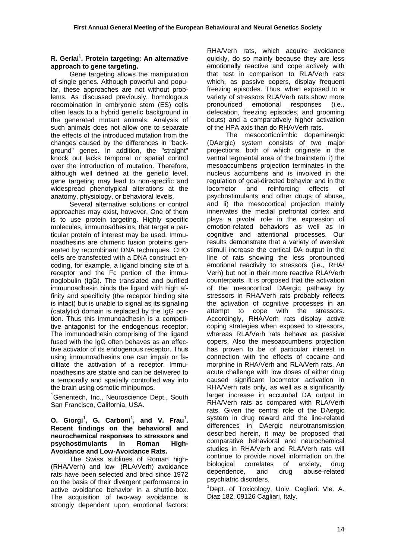# **R. Gerlai1 . Protein targeting: An alternative approach to gene targeting.**

 Gene targeting allows the manipulation of single genes. Although powerful and popular, these approaches are not without problems. As discussed previously, homologous recombination in embryonic stem (ES) cells often leads to a hybrid genetic background in the generated mutant animals. Analysis of such animals does not allow one to separate the effects of the introduced mutation from the changes caused by the differences in "background" genes. In addition, the "straight" knock out lacks temporal or spatial control over the introduction of mutation. Therefore, although well defined at the genetic level, gene targeting may lead to non-specific and widespread phenotypical alterations at the anatomy, physiology, or behavioral levels.

 Several alternative solutions or control approaches may exist, however. One of them is to use protein targeting. Highly specific molecules, immunoadhesins, that target a particular protein of interest may be used. Immunoadhesins are chimeric fusion proteins generated by recombinant DNA techniques. CHO cells are transfected with a DNA construct encoding, for example, a ligand binding site of a receptor and the Fc portion of the immunoglobulin (IgG). The translated and purified immunoadhesin binds the ligand with high affinity and specificity (the receptor binding site is intact) but is unable to signal as its signaling (catalytic) domain is replaced by the IgG portion. Thus this immunoadhesin is a competitive antagonist for the endogenous receptor. The immunoadhesin comprising of the ligand fused with the IgG often behaves as an effective activator of its endogenous receptor. Thus using immunoadhesins one can impair or facilitate the activation of a receptor. Immunoadhesins are stable and can be delivered to a temporally and spatially controlled way into the brain using osmotic minipumps.

<sup>1</sup>Genentech, Inc., Neuroscience Dept., South San Francisco, California, USA.

#### **O.** Giorgi<sup>1</sup>, G. Carboni<sup>1</sup>, and V. Frau<sup>1</sup>. **Recent findings on the behavioral and neurochemical responses to stressors and psychostimulants in Roman High-Avoidance and Low-Avoidance Rats.**

 The Swiss sublines of Roman high- (RHA/Verh) and low- (RLA/Verh) avoidance rats have been selected and bred since 1972 on the basis of their divergent performance in active avoidance behavior in a shuttle-box. The acquisition of two-way avoidance is strongly dependent upon emotional factors: RHA/Verh rats, which acquire avoidance quickly, do so mainly because they are less emotionally reactive and cope actively with that test in comparison to RLA/Verh rats which, as passive copers, display frequent freezing episodes. Thus, when exposed to a variety of stressors RLA/Verh rats show more pronounced emotional responses (i.e., defecation, freezing episodes, and grooming bouts) and a comparatively higher activation of the HPA axis than do RHA/Verh rats.

 The mesocorticolimbic dopaminergic (DAergic) system consists of two major projections, both of which originate in the ventral tegmental area of the brainstem: i) the mesoaccumbens projection terminates in the nucleus accumbens and is involved in the regulation of goal-directed behavior and in the locomotor and reinforcing effects of psychostimulants and other drugs of abuse, and ii) the mesocortical projection mainly innervates the medial prefrontal cortex and plays a pivotal role in the expression of emotion-related behaviors as well as in cognitive and attentional processes. Our results demonstrate that a variety of aversive stimuli increase the cortical DA output in the line of rats showing the less pronounced emotional reactivity to stressors (i.e., RHA/ Verh) but not in their more reactive RLA/Verh counterparts. It is proposed that the activation of the mesocortical DAergic pathway by stressors in RHA/Verh rats probably reflects the activation of cognitive processes in an attempt to cope with the stressors. Accordingly, RHA/Verh rats display active coping strategies when exposed to stressors, whereas RLA/Verh rats behave as passive copers. Also the mesoaccumbens projection has proven to be of particular interest in connection with the effects of cocaine and morphine in RHA/Verh and RLA/Verh rats. An acute challenge with low doses of either drug caused significant locomotor activation in RHA/Verh rats only, as well as a significantly larger increase in accumbal DA output in RHA/Verh rats as compared with RLA/Verh rats. Given the central role of the DAergic system in drug reward and the line-related differences in DAergic neurotransmission described herein, it may be proposed that comparative behavioral and neurochemical studies in RHA/Verh and RLA/Verh rats will continue to provide novel information on the biological correlates of anxiety, drug dependence, and drug abuse-related psychiatric disorders.

<sup>1</sup>Dept. of Toxicology, Univ. Cagliari. Vle. A. Diaz 182, 09126 Cagliari, Italy.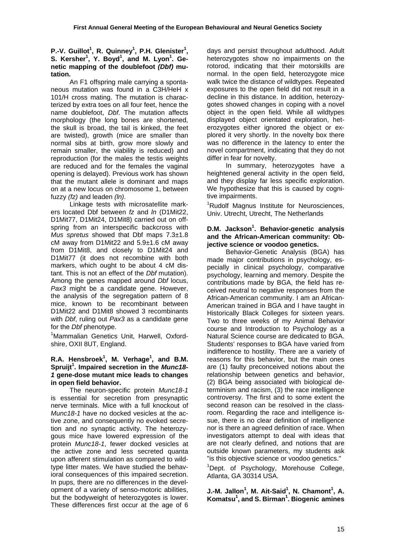#### **P.-V. Guillot<sup>1</sup>, R. Quinney<sup>1</sup>, P.H. Glenister<sup>1</sup>, S.** Kersher<sup>1</sup>, Y. Boyd<sup>1</sup>, and M. Lyon<sup>1</sup>. Ge**netic mapping of the doublefoot** *(Dbf)* **mutation.**

 An F1 offspring male carrying a spontaneous mutation was found in a C3H/HeH x 101/H cross mating. The mutation is characterized by extra toes on all four feet, hence the name doublefoot, *Dbf*. The mutation affects morphology (the long bones are shortened, the skull is broad, the tail is kinked, the feet are twisted), growth (mice are smaller than normal sibs at birth, grow more slowly and remain smaller, the viability is reduced) and reproduction (for the males the testis weights are reduced and for the females the vaginal opening is delayed). Previous work has shown that the mutant allele is dominant and maps on at a new locus on chromosome 1, between fuzzy *(fz)* and leaden *(ln)*.

 Linkage tests with microsatellite markers located Dbf between *fz* and *ln* (D1Mit22, D1Mit77, D1Mit24, D1Mit8) carried out on offspring from an interspecific backcross with *Mus spretus* showed that Dbf maps 7.3±1.8 cM away from D1Mit22 and 5.9±1.6 cM away from D1Mit8, and closely to D1Mit24 and D1Mit77 (it does not recombine with both markers, which ought to be about 4 cM distant. This is not an effect of the *Dbf* mutation). Among the genes mapped around *Dbf* locus, *Pax3* might be a candidate gene. However, the analysis of the segregation pattern of 8 mice, known to be recombinant between D1Mit22 and D1Mit8 showed 3 recombinants with *Dbf*, ruling out *Pax3* as a candidate gene for the *Dbf* phenotype.

<sup>1</sup>Mammalian Genetics Unit, Harwell, Oxfordshire, OXII 8UT, England.

#### **R.A. Hensbroek<sup>1</sup> , M. Verhage<sup>1</sup> , and B.M. Spruijt<sup>1</sup> . Impaired secretion in the** *Munc18- 1* **gene-dose mutant mice leads to changes in open field behavior.**

 The neuron-specific protein *Munc18-1* is essential for secretion from presynaptic nerve terminals. Mice with a full knockout of *Munc18-1* have no docked vesicles at the active zone, and consequently no evoked secretion and no synaptic activity. The heterozygous mice have lowered expression of the protein *Munc18-1*, fewer docked vesicles at the active zone and less secreted quanta upon afferent stimulation as compared to wildtype litter mates. We have studied the behavioral consequences of this impaired secretion. In pups, there are no differences in the development of a variety of senso-motoric abilities, but the bodyweight of heterozygotes is lower. These differences first occur at the age of 6

days and persist throughout adulthood. Adult heterozygotes show no impairments on the rotorod, indicating that their motorskills are normal. In the open field, heterozygote mice walk twice the distance of wildtypes. Repeated exposures to the open field did not result in a decline in this distance. In addition, heterozygotes showed changes in coping with a novel object in the open field. While all wildtypes displayed object orientated exploration, heterozygotes either ignored the object or explored it very shortly. In the novelty box there was no difference in the latency to enter the novel compartment, indicating that they do not differ in fear for novelty.

 In summary, heterozygotes have a heightened general activity in the open field. and they display far less specific exploration. We hypothesize that this is caused by cognitive impairments.

<sup>1</sup>Rudolf Magnus Institute for Neurosciences, Univ. Utrecht, Utrecht, The Netherlands

#### **D.M. Jackson<sup>1</sup> . Behavior-genetic analysis and the African-American community: Objective science or voodoo genetics.**

 Behavior-Genetic Analysis (BGA) has made major contributions in psychology, especially in clinical psychology, comparative psychology, learning and memory. Despite the contributions made by BGA, the field has received neutral to negative responses from the African-American community. I am an African-American trained in BGA and I have taught in Historically Black Colleges for sixteen years. Two to three weeks of my Animal Behavior course and Introduction to Psychology as a Natural Science course are dedicated to BGA. Students' responses to BGA have varied from indifference to hostility. There are a variety of reasons for this behavior, but the main ones are (1) faulty preconceived notions about the relationship between genetics and behavior, (2) BGA being associated with biological determinism and racism, (3) the race intelligence controversy. The first and to some extent the second reason can be resolved in the classroom. Regarding the race and intelligence issue, there is no clear definition of intelligence nor is there an agreed definition of race. When investigators attempt to deal with ideas that are not clearly defined, and notions that are outside known parameters, my students ask "is this objective science or voodoo genetics."

<sup>1</sup>Dept. of Psychology, Morehouse College, Atlanta, GA 30314 USA.

**J.-M. Jallon<sup>1</sup> , M. Ait-Said<sup>1</sup> , N. Chamont<sup>1</sup> , A. Komatsu<sup>1</sup> , and S. Birman1 . Biogenic amines**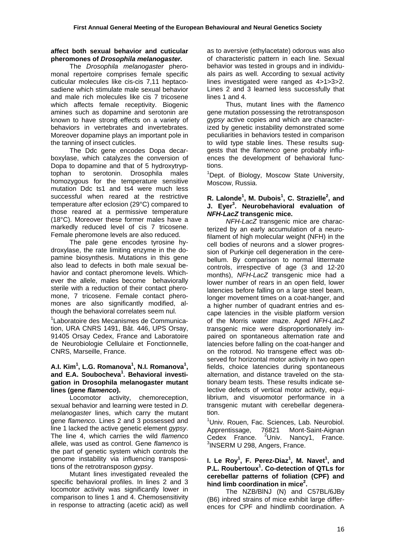#### **affect both sexual behavior and cuticular pheromones of** *Drosophila melanogaster.*

 The *Drosophila melanogaster* pheromonal repertoire comprises female specific cuticular molecules like cis-cis 7,11 heptacosadiene which stimulate male sexual behavior and male rich molecules like cis 7 tricosene which affects female receptivity. Biogenic amines such as dopamine and serotonin are known to have strong effects on a variety of behaviors in vertebrates and invertebrates. Moreover dopamine plays an important pole in the tanning of insect cuticles.

 The Ddc gene encodes Dopa decarboxylase, which catalyzes the conversion of Dopa to dopamine and that of 5 hydroxytryptophan to serotonin. Drosophila males homozygous for the temperature sensitive mutation Ddc ts1 and ts4 were much less successful when reared at the restrictive temperature after eclosion (29°C) compared to those reared at a permissive temperature (18°C). Moreover these former males have a markedly reduced level of cis 7 tricosene. Female pheromone levels are also reduced.

 The pale gene encodes tyrosine hydroxylase, the rate limiting enzyme in the dopamine biosynthesis. Mutations in this gene also lead to defects in both male sexual behavior and contact pheromone levels. Whichever the allele, males become behaviorally sterile with a reduction of their contact pheromone, 7 tricosene. Female contact pheromones are also significantly modified, although the behavioral correlates seem nul.

<sup>1</sup> Laboratoire des Mecanismes de Communication, URA CNRS 1491, Bât. 446, UPS Orsay, 91405 Orsay Cedex, France and Laboratoire de Neurobiologie Cellulaire et Fonctionnelle, CNRS, Marseille, France.

#### **A.I. Kim1 , L.G. Romanova<sup>1</sup> , N.I. Romanova<sup>1</sup> , and E.A. Soubocheva<sup>1</sup> . Behavioral investigation in Drosophila melanogaster mutant lines (gene** *flamenco***).**

 Locomotor activity, chemoreception, sexual behavior and learning were tested in *D. melanogaster* lines, which carry the mutant gene *flamenco*. Lines 2 and 3 possessed and line 1 lacked the active genetic element *gypsy*. The line 4, which carries the wild *flamenco* allele, was used as control. Gene *flamenco* is the part of genetic system which controls the genome instability via influencing transpositions of the retrotransposon *gypsy*.

 Mutant lines investigated revealed the specific behavioral profiles. In lines 2 and 3 locomotor activity was significantly lower in comparison to lines 1 and 4. Chemosensitivity in response to attracting (acetic acid) as well as to aversive (ethylacetate) odorous was also of characteristic pattern in each line. Sexual behavior was tested in groups and in individuals pairs as well. According to sexual activity lines investigated were ranged as 4>1>3>2. Lines 2 and 3 learned less successfully that lines 1 and 4.

 Thus, mutant lines with the *flamenco* gene mutation possessing the retrotransposon *gypsy* active copies and which are characterized by genetic instability demonstrated some peculiarities in behaviors tested in comparison to wild type stable lines. These results suggests that the *flamenco* gene probably influences the development of behavioral functions.

<sup>1</sup>Dept. of Biology, Moscow State University, Moscow, Russia.

## **R. Lalonde1 , M. Dubois<sup>1</sup> , C. Strazielle<sup>2</sup> , and J. Eyer<sup>3</sup> . Neurobehavioral evaluation of**  *NFH-LacZ* **transgenic mice.**

*NFH-LacZ* transgenic mice are characterized by an early accumulation of a neurofilament of high molecular weight (NFH) in the cell bodies of neurons and a slower progression of Purkinje cell degeneration in the cerebellum. By comparison to normal littermate controls, irrespective of age (3 and 12-20 months), *NFH-LacZ* transgenic mice had a lower number of rears in an open field, lower latencies before falling on a large steel beam, longer movement times on a coat-hanger, and a higher number of quadrant entries and escape latencies in the visible platform version of the Morris water maze. Aged *NFH-LacZ* transgenic mice were disproportionately impaired on spontaneous alternation rate and latencies before falling on the coat-hanger and on the rotorod. No transgene effect was observed for horizontal motor activity in two open fields, choice latencies during spontaneous alternation, and distance traveled on the stationary beam tests. These results indicate selective defects of vertical motor activity, equilibrium, and visuomotor performance in a transgenic mutant with cerebellar degeneration.

<sup>1</sup>Univ. Rouen, Fac. Sciences, Lab. Neurobiol. Apprentissage, 76821 Mont-Saint-Aignan Cedex France.  $\mathrm{^{2}Univ.}$  Nancy1, France. <sup>3</sup>INSERM U 298, Angers, France.

#### **I. Le Roy1 , F. Perez-Diaz<sup>1</sup> , M. Navet<sup>1</sup> , and P.L. Roubertoux<sup>1</sup> . Co-detection of QTLs for cerebellar patterns of foliation (CPF) and hind limb coordination in mice2 .**

 The NZB/BlNJ (N) and C57BL/6JBy (B6) inbred strains of mice exhibit large differences for CPF and hindlimb coordination. A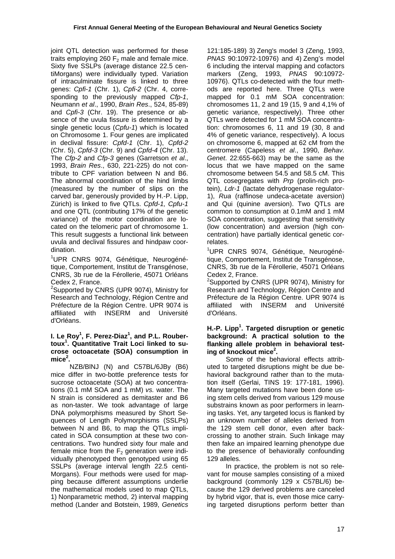joint QTL detection was performed for these traits employing 260  $F<sub>2</sub>$  male and female mice. Sixty five SSLPs (average distance 22.5 centiMorgans) were individually typed. Variation of intraculminate fissure is linked to three genes: *Cpfi-1* (Chr. 1), *Cpfi-2* (Chr. 4, corresponding to the previously mapped *Cfp-1*, Neumann *et al*., 1990, *Brain Res*., 524, 85-89) and *Cpfi-3* (Chr. 19). The presence or absence of the uvula fissure is determined by a single genetic locus (*Cpfu-1*) which is located on Chromosome 1. Four genes are implicated in declival fissure: *Cpfd-1* (Chr. 1), *Cpfd-2* (Chr. 5), *Cpfd-3* (Chr. 9) and *Cpfd-4* (Chr. 13). The *Cfp-2* and *Cfp-3* genes (Garretson *et al*., 1993, *Brain Res*., 630, 221-225) do not contribute to CPF variation between N and B6. The abnormal coordination of the hind limbs (measured by the number of slips on the carved bar, generously provided by H.-P. Lipp, Zürich) is linked to five QTLs. *Cpfd-1, Cpfu-1*  and one QTL (contributing 17% of the genetic variance) of the motor coordination are located on the telomeric part of chromosome 1. This result suggests a functional link between uvula and declival fissures and hindpaw coordination.

<sup>1</sup>UPR CNRS 9074, Génétique, Neurogénétique, Comportement, Institut de Transgénose, CNRS, 3b rue de la Férollerie, 45071 Orléans Cedex 2, France.

<sup>2</sup>Supported by CNRS (UPR 9074), Ministry for Research and Technology, Région Centre and Préfecture de la Région Centre. UPR 9074 is affiliated with INSERM and Université d'Orléans.

#### **I. Le Roy1 , F. Perez-Diaz<sup>1</sup> , and P.L. Roubertoux<sup>1</sup> . Quantitative Trait Loci linked to sucrose octoacetate (SOA) consumption in**   $mice<sup>2</sup>$ .

 NZB/BlNJ (N) and C57BL/6JBy (B6) mice differ in two-bottle preference tests for sucrose octoacetate (SOA) at two concentrations (0.1 mM SOA and 1 mM) *vs.* water. The N strain is considered as demitaster and B6 as non-taster. We took advantage of large DNA polymorphisms measured by Short Sequences of Length Polymorphisms (SSLPs) between N and B6, to map the QTLs implicated in SOA consumption at these two concentrations. Two hundred sixty four male and female mice from the  $F_2$  generation were individually phenotyped then genotyped using 65 SSLPs (average interval length 22.5 centi-Morgans). Four methods were used for mapping because different assumptions underlie the mathematical models used to map QTLs, 1) Nonparametric method, 2) interval mapping method (Lander and Botstein, 1989, *Genetics*  121:185-189) 3) Zeng's model 3 (Zeng, 1993, *PNAS* 90:10972-10976) and 4) Zeng's model 6 including the interval mapping and cofactors markers (Zeng, 1993, *PNAS* 90:10972- 10976). QTLs co-detected with the four methods are reported here. Three QTLs were mapped for 0.1 mM SOA concentration: chromosomes 11, 2 and 19 (15, 9 and 4,1% of genetic variance, respectively). Three other QTLs were detected for 1 mM SOA concentration: chromosomes 6, 11 and 19 (30, 8 and 4% of genetic variance, respectively). A locus on chromosome 6, mapped at 62 cM from the centromere (Capeless *et al*., 1990, *Behav. Genet*. 22:655-663) may be the same as the locus that we have mapped on the same chromosome between 54.5 and 58.5 cM. This QTL cosegregates with *Prp* (prolin-rich protein), *Ldr-1* (lactate dehydrogenase regulator-1), *Rua* (raffinose undeca-acetate aversion) and Qui (quinine aversion). Two QTLs are common to consumption at 0.1mM and 1 mM SOA concentration, suggesting that sensitivity (low concentration) and aversion (high concentration) have partially identical genetic correlates.

<sup>1</sup>UPR CNRS 9074, Génétique, Neurogénétique, Comportement, Institut de Transgénose, CNRS, 3b rue de la Férollerie, 45071 Orléans

Cedex 2, France.<br><sup>2</sup>Supported by CNRS (UPR 9074), Ministry for Research and Technology, Région Centre and Préfecture de la Région Centre. UPR 9074 is affiliated with INSERM and Université d'Orléans.

#### **H.-P. Lipp<sup>1</sup> . Targeted disruption or genetic background: A practical solution to the flanking allele problem in behavioral testing of knockout mice<sup>2</sup> .**

 Some of the behavioral effects attributed to targeted disruptions might be due behavioral background rather than to the mutation itself (Gerlai, TINS 19: 177-181, 1996). Many targeted mutations have been done using stem cells derived from various 129 mouse substrains known as poor performers in learning tasks. Yet, any targeted locus is flanked by an unknown number of alleles derived from the 129 stem cell donor, even after backcrossing to another strain. Such linkage may then fake an impaired learning phenotype due to the presence of behaviorally confounding 129 alleles.

 In practice, the problem is not so relevant for mouse samples consisting of a mixed background (commonly 129 x C57BL/6) because the 129 derived problems are canceled by hybrid vigor, that is, even those mice carrying targeted disruptions perform better than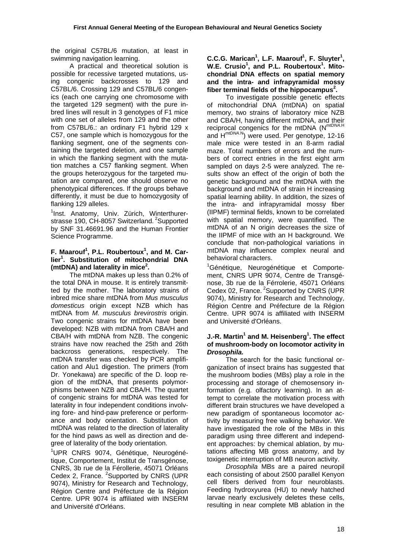the original C57BL/6 mutation, at least in swimming navigation learning.

 A practical and theoretical solution is possible for recessive targeted mutations, using congenic backcrosses to 129 and C57BL/6. Crossing 129 and C57BL/6 congenics (each one carrying one chromosome with the targeted 129 segment) with the pure inbred lines will result in 3 genotypes of F1 mice with one set of alleles from 129 and the other from C57BL/6.: an ordinary F1 hybrid 129 x C57, one sample which is homozygous for the flanking segment, one of the segments containing the targeted deletion, and one sample in which the flanking segment with the mutation matches a C57 flanking segment. When the groups heterozygous for the targeted mutation are compared, one should observe no phenotypical differences. If the groups behave differently, it must be due to homozygosity of flanking 129 alleles.

<sup>1</sup>Inst. Anatomy, Univ. Zürich, Winterthurerstrasse 190, CH-8057 Switzerland. <sup>2</sup>Supported by SNF 31.46691.96 and the Human Frontier Science Programme.

#### **F. Maarouf<sup>1</sup> , P.L. Roubertoux<sup>1</sup> , and M. Carlier<sup>1</sup> . Substitution of mitochondrial DNA (mtDNA) and laterality in mice<sup>2</sup> .**

 The mtDNA makes up less than 0.2% of the total DNA in mouse. It is entirely transmitted by the mother. The laboratory strains of inbred mice share mtDNA from *Mus musculus domesticus* origin except NZB which has mtDNA from *M. musculus brevirostris* origin. Two congenic strains for mtDNA have been developed: NZB with mtDNA from CBA/H and CBA/H with mtDNA from NZB. The congenic strains have now reached the 25th and 26th backcross generations, respectively. The mtDNA transfer was checked by PCR amplification and Alu1 digestion. The primers (from Dr. Yonekawa) are specific of the D. loop region of the mtDNA, that presents polymorphisms between NZB and CBA/H. The quartet of congenic strains for mtDNA was tested for laterality in four independent conditions involving fore- and hind-paw preference or performance and body orientation. Substitution of mtDNA was related to the direction of laterality for the hind paws as well as direction and degree of laterality of the body orientation.

<sup>1</sup>UPR CNRS 9074, Génétique, Neurogénétique, Comportement, Institut de Transgénose, CNRS, 3b rue de la Férollerie, 45071 Orléans Cedex 2, France. <sup>2</sup>Supported by CNRS (UPR 9074), Ministry for Research and Technology, Région Centre and Préfecture de la Région Centre. UPR 9074 is affiliated with INSERM and Université d'Orléans.

C.C.G. Marican<sup>1</sup>, L.F. Maarouf<sup>1</sup>, F. Sluyter<sup>1</sup>, W.E. Crusio<sup>1</sup>, and P.L. Roubertoux<sup>1</sup>. Mito**chondrial DNA effects on spatial memory and the intra- and infrapyramidal mossy fiber terminal fields of the hippocampus<sup>2</sup> .** 

To investigate possible genetic effects of mitochondrial DNA (mtDNA) on spatial memory, two strains of laboratory mice NZB and CBA/H, having different mtDNA, and their reciprocal congenics for the mtDNA (N*mtDNA*.H and H*mtDNA*.N) were used. Per genotype, 12-16 male mice were tested in an 8-arm radial maze. Total numbers of errors and the numbers of correct entries in the first eight arm sampled on days 2-5 were analyzed. The results show an effect of the origin of both the genetic background and the mtDNA with the background and mtDNA of strain H increasing spatial learning ability. In addition, the sizes of the intra- and infrapyramidal mossy fiber (IIPMF) terminal fields, known to be correlated with spatial memory, were quantified. The mtDNA of an N origin decreases the size of the IIPMF of mice with an H background. We conclude that non-pathological variations in mtDNA may influence complex neural and behavioral characters.

<sup>1</sup>Génétique, Neurogénétique et Comportement, CNRS UPR 9074, Centre de Transgénose, 3b rue de la Férrolerie, 45071 Orléans Cedex 02, France.<sup>2</sup>Supported by CNRS (UPR 9074), Ministry for Research and Technology, Région Centre and Préfecture de la Région Centre. UPR 9074 is affiliated with INSERM and Université d'Orléans.

## **J.-R. Martin<sup>1</sup> and M. Heisenberg<sup>1</sup>. The effect of mushroom-body on locomotor activity in**  *Drosophila.*

 The search for the basic functional organization of insect brains has suggested that the mushroom bodies (MBs) play a role in the processing and storage of chemosensory information (e.g. olfactory learning). In an attempt to correlate the motivation process with different brain structures we have developed a new paradigm of spontaneous locomotor activity by measuring free walking behavior. We have investigated the role of the MBs in this paradigm using three different and independent approaches: by chemical ablation, by mutations affecting MB gross anatomy, and by toxigenetic interruption of MB neuron activity.

*Drosophila* MBs are a paired neuropil each consisting of about 2500 parallel Kenyon cell fibers derived from four neuroblasts. Feeding hydroxyurea (HU) to newly hatched larvae nearly exclusively deletes these cells, resulting in near complete MB ablation in the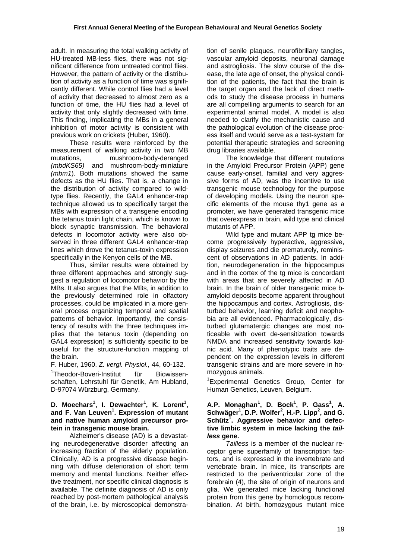adult. In measuring the total walking activity of HU-treated MB-less flies, there was not significant difference from untreated control flies. However, the pattern of activity or the distribution of activity as a function of time was significantly different. While control flies had a level of activity that decreased to almost zero as a function of time, the HU flies had a level of activity that only slightly decreased with time. This finding, implicating the MBs in a general inhibition of motor activity is consistent with previous work on crickets (Huber, 1960).

These results were reinforced by the measurement of walking activity in two MB mutations, mushroom-body-deranged *(mbdKS65)* and mushroom-body-miniature *(mbm1*). Both mutations showed the same defects as the HU flies. That is, a change in the distribution of activity compared to wildtype flies. Recently, the GAL4 enhancer-trap technique allowed us to specifically target the MBs with expression of a transgene encoding the tetanus toxin light chain, which is known to block synaptic transmission. The behavioral defects in locomotor activity were also observed in three different GAL4 enhancer-trap lines which drove the tetanus-toxin expression specifically in the Kenyon cells of the MB.

 Thus, similar results were obtained by three different approaches and strongly suggest a regulation of locomotor behavior by the MBs. It also argues that the MBs, in addition to the previously determined role in olfactory processes, could be implicated in a more general process organizing temporal and spatial patterns of behavior. Importantly, the consistency of results with the three techniques implies that the tetanus toxin (depending on GAL4 expression) is sufficiently specific to be useful for the structure-function mapping of the brain.

F. Huber, 1960. *Z. vergl. Physiol.,* 44, 60-132.

<sup>1</sup>Theodor-Boveri-Institut für Biowissenschaften, Lehrstuhl für Genetik, Am Hubland, D-97074 Würzburg, Germany.

#### **D. Moechars<sup>1</sup> , I. Dewachter<sup>1</sup> , K. Lorent<sup>1</sup> ,**  and F. Van Leuven<sup>1</sup>. Expression of mutant **and native human amyloid precursor protein in transgenic mouse brain.**

 Alzheimer's disease (AD) is a devastating neurodegenerative disorder affecting an increasing fraction of the elderly population. Clinically, AD is a progressive disease beginning with diffuse deterioration of short term memory and mental functions. Neither effective treatment, nor specific clinical diagnosis is available. The definite diagnosis of AD is only reached by post-mortem pathological analysis of the brain, i.e. by microscopical demonstration of senile plaques, neurofibrillary tangles, vascular amyloid deposits, neuronal damage and astrogliosis. The slow course of the disease, the late age of onset, the physical condition of the patients, the fact that the brain is the target organ and the lack of direct methods to study the disease process in humans are all compelling arguments to search for an experimental animal model. A model is also needed to clarify the mechanistic cause and the pathological evolution of the disease process itself and would serve as a test-system for potential therapeutic strategies and screening drug libraries available.

 The knowledge that different mutations in the Amyloid Precursor Protein (APP) gene cause early-onset, familial and very aggressive forms of AD, was the incentive to use transgenic mouse technology for the purpose of developing models. Using the neuron specific elements of the mouse thy1 gene as a promoter, we have generated transgenic mice that overexpress in brain, wild type and clinical mutants of APP.

 Wild type and mutant APP tg mice become progressively hyperactive, aggressive, display seizures and die prematurely, reminiscent of observations in AD patients. In addition, neurodegeneration in the hippocampus and in the cortex of the tg mice is concordant with areas that are severely affected in AD brain. In the brain of older transgenic mice bamyloid deposits become apparent throughout the hippocampus and cortex. Astrogliosis, disturbed behavior, learning deficit and neophobia are all evidenced. Pharmacologically, disturbed glutamatergic changes are most noticeable with overt de-sensitization towards NMDA and increased sensitivity towards kainic acid. Many of phenotypic traits are dependent on the expression levels in different transgenic strains and are more severe in homozygous animals.

1 Experimental Genetics Group, Center for Human Genetics, Leuven, Belgium.

#### **A.P. Monaghan1 , D. Bock<sup>1</sup> , P. Gass<sup>1</sup> , A. Schwäger<sup>1</sup> , D.P. Wolfer2 , H.-P. Lipp<sup>2</sup> , and G. Schütz<sup>1</sup> . Aggressive behavior and defective limbic system in mice lacking the** *tailless* **gene.**

*Tailless* is a member of the nuclear receptor gene superfamily of transcription factors, and is expressed in the invertebrate and vertebrate brain. In mice, its transcripts are restricted to the periventricular zone of the forebrain (4), the site of origin of neurons and glia. We generated mice lacking functional protein from this gene by homologous recombination. At birth, homozygous mutant mice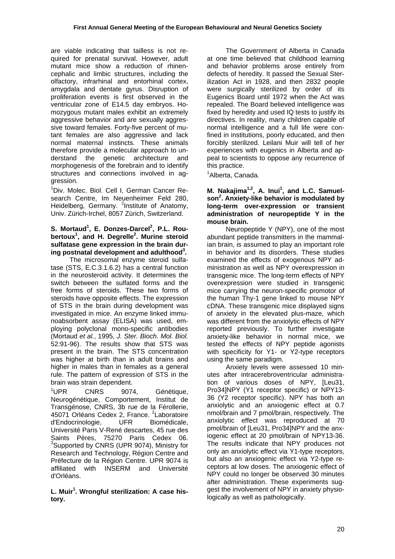are viable indicating that tailless is not required for prenatal survival. However, adult mutant mice show a reduction of rhinencephalic and limbic structures, including the olfactory, infrarhinal and entorhinal cortex, amygdala and dentate gyrus. Disruption of proliferation events is first observed in the ventricular zone of E14.5 day embryos. Homozygous mutant males exhibit an extremely aggressive behavior and are sexually aggressive toward females. Forty-five percent of mutant females are also aggressive and lack normal maternal instincts. These animals therefore provide a molecular approach to understand the genetic architecture and morphogenesis of the forebrain and to identify structures and connections involved in aggression.

<sup>1</sup>Div. Molec. Biol. Cell I, German Cancer Research Centre, Im Neuenheimer Feld 280, Heidelberg, Germany. <sup>2</sup>Institute of Anatomy, Univ. Zürich-Irchel, 8057 Zürich, Switzerland.

# S. Mortaud<sup>1</sup>, E. Donzes-Darcel<sup>2</sup>, P.L. Rou**bertoux<sup>1</sup> , and H. Degrelle<sup>2</sup> . Murine steroid sulfatase gene expression in the brain during postnatal development and adulthood3 .**

 The microsomal enzyme steroid sulfatase (STS, E.C.3.1.6.2) has a central function in the neurosteroid activity. It determines the switch between the sulfated forms and the free forms of steroids. These two forms of steroids have opposite effects. The expression of STS in the brain during development was investigated in mice. An enzyme linked immunoabsorbent assay (ELISA) was used, employing polyclonal mono-specific antibodies (Mortaud *et al.*, 1995, *J. Ster. Bioch. Mol. Biol.* 52:91-96). The results show that STS was present in the brain. The STS concentration was higher at birth than in adult brains and higher in males than in females as a general rule. The pattern of expression of STS in the brain was strain dependent.

 $1$ IJPR CNRS 9074, Génétique, Neurogénétique, Comportement, Institut de Transgénose, CNRS, 3b rue de la Férollerie, 45071 Orléans Cedex 2, France. <sup>2</sup>Laboratoire d'Endocrinologie, UFR Biomédicale, Université Paris V-René descartes, 45 rue des Saints Pères, 75270 Paris Cedex 06. <sup>3</sup>Supported by CNRS (UPR 9074), Ministry for Research and Technology, Région Centre and Préfecture de la Région Centre. UPR 9074 is affiliated with INSERM and Université d'Orléans.

# **L. Muir<sup>1</sup> . Wrongful sterilization: A case history.**

 The Government of Alberta in Canada at one time believed that childhood learning and behavior problems arose entirely from defects of heredity. It passed the Sexual Sterilization Act in 1928, and then 2832 people were surgically sterilized by order of its Eugenics Board until 1972 when the Act was repealed. The Board believed intelligence was fixed by heredity and used IQ tests to justify its directives. In reality, many children capable of normal intelligence and a full life were confined in institutions, poorly educated, and then forcibly sterilized. Leilani Muir will tell of her experiences with eugenics in Alberta and appeal to scientists to oppose any recurrence of this practice.

<sup>1</sup> Alberta, Canada.

M. Nakajima<sup>1,2</sup>, A. Inui<sup>1</sup>, and L.C. Samuel**son2 . Anxiety-like behavior is modulated by long-term over-expression or transient administration of neuropeptide Y in the mouse brain.** 

 Neuropeptide Y (NPY), one of the most abundant peptide transmitters in the mammalian brain, is assumed to play an important role in behavior and its disorders. These studies examined the effects of exogenous NPY administration as well as NPY overexpression in transgenic mice. The long-term effects of NPY overexpression were studied in transgenic mice carrying the neuron-specific promotor of the human Thy-1 gene linked to mouse NPY cDNA. These transgenic mice displayed signs of anxiety in the elevated plus-maze, which was different from the anxiolytic effects of NPY reported previously. To further investigate anxiety-like behavior in normal mice, we tested the effects of NPY peptide agonists with specificity for Y1- or Y2-type receptors using the same paradigm.

 Anxiety levels were assessed 10 minutes after intracerebroventricular administration of various doses of NPY, ILeu31, Pro34]NPY (Y1 receptor specific) or NPY13- 36 (Y2 receptor specific). NPY has both an anxiolytic and an anxiogenic effect at 0.7 nmol/brain and 7 pmol/brain, respectively. The anxiolytic effect was reproduced at 70 pmol/brain of [Leu31, Pro34]NPY and the anxiogenic effect at 20 pmol/brain of NPY13-36. The results indicate that NPY produces not only an anxiolytic effect via Y1-type receptors, but also an anxiogenic effect via Y2-type receptors at low doses. The anxiogenic effect of NPY could no longer be observed 30 minutes after administration. These experiments suggest the involvement of NPY in anxiety physiologically as well as pathologically.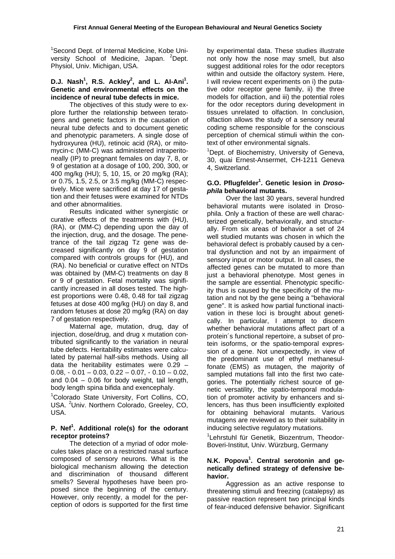<sup>1</sup>Second Dept. of Internal Medicine, Kobe University School of Medicine, Japan. <sup>2</sup>Dept. Physiol, Univ. Michigan, USA.

# **D.J. Nash<sup>1</sup>, R.S. Ackley<sup>2</sup>, and L. Al-Ani<sup>1</sup>. Genetic and environmental effects on the incidence of neural tube defects in mice.**

 The objectives of this study were to explore further the relationship between teratogens and genetic factors in the causation of neural tube defects and to document genetic and phenotypic parameters. A single dose of hydroxyurea (HU), retinoic acid (RA), or mitomycin-c (MM-C) was administered intraperitoneally (IP) to pregnant females on day 7, 8, or 9 of gestation at a dosage of 100, 200, 300, or 400 mg/kg (HU); 5, 10, 15, or 20 mg/kg (RA); or 0.75, 1.5, 2.5, or 3.5 mg/kg (MM-C) respectively. Mice were sacrificed at day 17 of gestation and their fetuses were examined for NTDs and other abnormalities.

 Results indicated wither synergistic or curative effects of the treatments with (HU), (RA), or (MM-C) depending upon the day of the injection, drug, and the dosage. The penetrance of the tail zigzag Tz gene was decreased significantly on day 9 of gestation compared with controls groups for (HU), and (RA). No beneficial or curative effect on NTDs was obtained by (MM-C) treatments on day 8 or 9 of gestation. Fetal mortality was significantly increased in all doses tested. The highest proportions were 0.48, 0.48 for tail zigzag fetuses at dose 400 mg/kg (HU) on day 8, and random fetuses at dose 20 mg/kg (RA) on day 7 of gestation respectively.

 Maternal age, mutation, drug, day of injection, dose/drug, and drug x mutation contributed significantly to the variation in neural tube defects. Heritability estimates were calculated by paternal half-sibs methods. Using all data the heritability estimates were 0.29 –  $0.08, -0.01 - 0.03, 0.22 - 0.07, -0.10 - 0.02,$ and  $0.04 - 0.06$  for body weight, tail length, body length spina bifida and exencephaly.

<sup>1</sup>Colorado State University, Fort Collins, CO, USA. <sup>2</sup>Univ. Northern Colorado, Greeley, CO, USA.

## **P. Nef<sup>1</sup> . Additional role(s) for the odorant receptor proteins?**

 The detection of a myriad of odor molecules takes place on a restricted nasal surface composed of sensory neurons. What is the biological mechanism allowing the detection and discrimination of thousand different smells? Several hypotheses have been proposed since the beginning of the century. However, only recently, a model for the perception of odors is supported for the first time by experimental data. These studies illustrate not only how the nose may smell, but also suggest additional roles for the odor receptors within and outside the olfactory system. Here, I will review recent experiments on i) the putative odor receptor gene family, ii) the three models for olfaction, and iii) the potential roles for the odor receptors during development in tissues unrelated to olfaction. In conclusion, olfaction allows the study of a sensory neural coding scheme responsible for the conscious perception of chemical stimuli within the context of other environmental signals.

<sup>1</sup>Dept. of Biochemistry, University of Geneva, 30, quai Ernest-Ansermet, CH-1211 Geneva 4, Switzerland.

#### **G.O. Pflugfelder1 . Genetic lesion in** *Drosophila* **behavioral mutants.**

 Over the last 30 years, several hundred behavioral mutants were isolated in Drosophila. Only a fraction of these are well characterized genetically, behaviorally, and structurally. From six areas of behavior a set of 24 well studied mutants was chosen in which the behavioral defect is probably caused by a central dysfunction and not by an impairment of sensory input or motor output. In all cases, the affected genes can be mutated to more than just a behavioral phenotype. Most genes in the sample are essential. Phenotypic specificity thus is caused by the specificity of the mutation and not by the gene being a "behavioral gene". It is asked how partial functional inactivation in these loci is brought about genetically. In particular, I attempt to discern whether behavioral mutations affect part of a protein´s functional repertoire, a subset of protein isoforms, or the spatio-temporal expression of a gene. Not unexpectedly, in view of the predominant use of ethyl methanesulfonate (EMS) as mutagen, the majority of sampled mutations fall into the first two categories. The potentially richest source of genetic versatility, the spatio-temporal modulation of promoter activity by enhancers and silencers, has thus been insufficiently exploited for obtaining behavioral mutants. Various mutagens are reviewed as to their suitability in inducing selective regulatory mutations.

<sup>1</sup>Lehrstuhl für Genetik, Biozentrum, Theodor-Boveri-Institut, Univ. Würzburg, Germany

#### **N.K. Popova<sup>1</sup> . Central serotonin and genetically defined strategy of defensive behavior.**

 Aggression as an active response to threatening stimuli and freezing (catalepsy) as passive reaction represent two principal kinds of fear-induced defensive behavior. Significant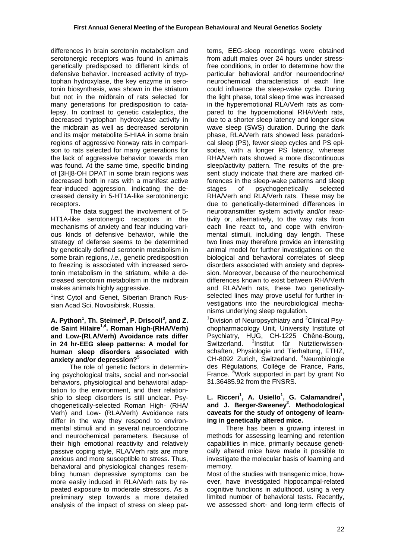differences in brain serotonin metabolism and serotonergic receptors was found in animals genetically predisposed to different kinds of defensive behavior. Increased activity of tryptophan hydroxylase, the key enzyme in serotonin biosynthesis, was shown in the striatum but not in the midbrain of rats selected for many generations for predisposition to catalepsy. In contrast to genetic cataleptics, the decreased tryptophan hydroxylase activity in the midbrain as well as decreased serotonin and its major metabolite 5-HIAA in some brain regions of aggressive Norway rats in comparison to rats selected for many generations for the lack of aggressive behavior towards man was found. At the same time, specific binding of [3H]8-OH DPAT in some brain regions was decreased both in rats with a manifest active fear-induced aggression, indicating the decreased density in 5-HT1A-like serotoninergic receptors.

 The data suggest the involvement of 5- HT1A-like serotonergic receptors in the mechanisms of anxiety and fear inducing various kinds of defensive behavior, while the strategy of defense seems to be determined by genetically defined serotonin metabolism in some brain regions, *i.e.,* genetic predisposition to freezing is associated with increased serotonin metabolism in the striatum, while a decreased serotonin metabolism in the midbrain makes animals highly aggressive.

<sup>1</sup>Inst Cytol and Genet, Siberian Branch Russian Acad Sci, Novosibirsk, Russia.

#### **A. Python<sup>1</sup>, Th. Steimer<sup>2</sup>, P. Driscoll<sup>3</sup>, and Z. de Saint Hilaire1,4. Roman High-(RHA/Verh) and Low-(RLA/Verh) Avoidance rats differ in 24 hr-EEG sleep patterns: A model for human sleep disorders associated with anxiety and/or depression?<sup>5</sup>**

The role of genetic factors in determining psychological traits, social and non-social behaviors, physiological and behavioral adaptation to the environment, and their relationship to sleep disorders is still unclear. Psychogenetically-selected Roman High- (RHA/ Verh) and Low- (RLA/Verh) Avoidance rats differ in the way they respond to environmental stimuli and in several neuroendocrine and neurochemical parameters. Because of their high emotional reactivity and relatively passive coping style, RLA/Verh rats are more anxious and more susceptible to stress. Thus, behavioral and physiological changes resembling human depressive symptoms can be more easily induced in RLA/Verh rats by repeated exposure to moderate stressors. As a preliminary step towards a more detailed analysis of the impact of stress on sleep patterns, EEG-sleep recordings were obtained from adult males over 24 hours under stressfree conditions, in order to determine how the particular behavioral and/or neuroendocrine/ neurochemical characteristics of each line could influence the sleep-wake cycle. During the light phase, total sleep time was increased in the hyperemotional RLA/Verh rats as compared to the hypoemotional RHA/Verh rats, due to a shorter sleep latency and longer slow wave sleep (SWS) duration. During the dark phase, RLA/Verh rats showed less paradoxical sleep (PS), fewer sleep cycles and PS episodes, with a longer PS latency, whereas RHA/Verh rats showed a more discontinuous sleep/activity pattern. The results of the present study indicate that there are marked differences in the sleep-wake patterns and sleep stages of psychogenetically selected RHA/Verh and RLA/Verh rats. These may be due to genetically-determined differences in neurotransmitter system activity and/or reactivity or, alternatively, to the way rats from each line react to, and cope with environmental stimuli, including day length. These two lines may therefore provide an interesting animal model for further investigations on the biological and behavioral correlates of sleep disorders associated with anxiety and depression. Moreover, because of the neurochemical differences known to exist between RHA/Verh and RLA/Verh rats, these two geneticallyselected lines may prove useful for further investigations into the neurobiological mechanisms underlying sleep regulation.

<sup>1</sup>Division of Neuropsychiatry and <sup>2</sup>Clinical Psychopharmacology Unit, University Institute of Psychiatry, HUG, CH-1225 Chêne-Bourg, Switzerland.  $3$ Institut für Nutztierwissenschaften, Physiologie und Tierhaltung, ETHZ, CH-8092 Zurich, Switzerland. <sup>4</sup>Neurobiologie des Régulations, Collège de France, Paris, France.<sup>5</sup> Work supported in part by grant No 31.36485.92 from the FNSRS.

# L. Ricceri<sup>1</sup>, A. Usiello<sup>1</sup>, G. Calamandrei<sup>1</sup>, and J. Berger-Sweeney<sup>2</sup>. Methodological **caveats for the study of ontogeny of learning in genetically altered mice.**

 There has been a growing interest in methods for assessing learning and retention capabilities in mice, primarily because genetically altered mice have made it possible to investigate the molecular basis of learning and memory.

Most of the studies with transgenic mice, however, have investigated hippocampal-related cognitive functions in adulthood, using a very limited number of behavioral tests. Recently, we assessed short- and long-term effects of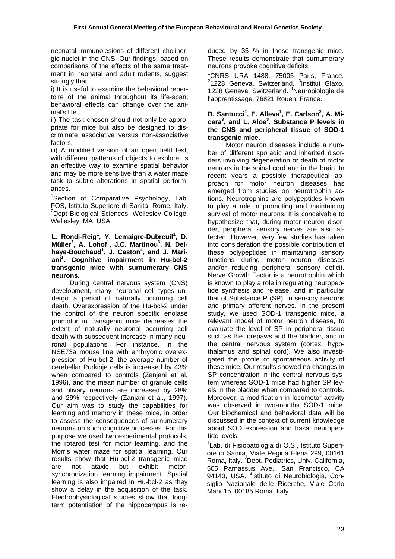neonatal immunolesions of different cholinergic nuclei in the CNS. Our findings, based on comparisons of the effects of the same treatment in neonatal and adult rodents, suggest strongly that:

i) It is useful to examine the behavioral repertoire of the animal throughout its life-span; behavioral effects can change over the animal's life.

ii) The task chosen should not only be appropriate for mice but also be designed to discriminate associative versus non-associative factors.

iii) A modified version of an open field test, with different patterns of objects to explore, is an effective way to examine spatial behavior and may be more sensitive than a water maze task to subtle alterations in spatial performances.

<sup>1</sup>Section of Comparative Psychology, Lab. FOS, Istituto Superiore di Sanità, Rome, Italy. <sup>2</sup>Dept Biological Sciences, Wellesley College, Wellesley, MA, USA.

**L. Rondi-Reig1 , Y. Lemaigre-Dubreuil<sup>1</sup> , D. Müller<sup>2</sup> , A. Lohof<sup>1</sup> , J.C. Martinou<sup>3</sup> , N. Delhaye-Bouchaud<sup>1</sup> , J. Caston<sup>4</sup> , and J. Mariani1 . Cognitive impairment in Hu-bcl-2 transgenic mice with surnumerary CNS neurons.** 

 During central nervous system (CNS) development, many neuronal cell types undergo a period of naturally occurring cell death. Overexpression of the Hu-bcl-2 under the control of the neuron specific enolase promotor in transgenic mice decreases the extent of naturally neuronal occurring cell death with subsequent increase in many neuronal populations. For instance, in the NSE73a mouse line with embryonic overexpression of Hu-bcl-2, the average number of cerebellar Purkinje cells is increased by 43% when compared to controls (Zaniani et al. 1996), and the mean number of granule cells and olivary neurons are increased by 28% and 29% respectively (Zanjani et al., 1997). Our aim was to study the capabilities for learning and memory in these mice, in order to assess the consequences of surnumerary neurons on such cognitive processes. For this purpose we used two experimental protocols, the rotarod test for motor learning, and the Morris water maze for spatial learning. Our results show that Hu-bcl-2 transgenic mice are not ataxic but exhibit motorsynchronization learning impairment. Spatial learning is also impaired in Hu-bcl-2 as they show a delay in the acquisition of the task. Electrophysiological studies show that longterm potentiation of the hippocampus is reduced by 35 % in these transgenic mice. These results demonstrate that surnumerary neurons provoke cognitive deficits.

1 CNRS URA 1488, 75005 Paris, France. <sup>2</sup>1228 Geneva, Switzerland. <sup>3</sup>Institut Glaxo, 1228 Geneva, Switzerland. <sup>4</sup>Neurobiologie de l'apprentissage, 76821 Rouen, France.

#### D. Santucci<sup>1</sup>, E. Alleva<sup>1</sup>, E. Carlson<sup>2</sup>, A. Mi**cera<sup>3</sup> , and L. Aloe<sup>3</sup> . Substance P levels in the CNS and peripheral tissue of SOD-1 transgenic mice.**

 Motor neuron diseases include a number of different sporadic and inherited disorders involving degeneration or death of motor neurons in the spinal cord and in the brain. In recent years a possible therapeutical approach for motor neuron diseases has emerged from studies on neurotrophin actions. Neurotrophins are polypeptides known to play a role in promoting and maintaining survival of motor neurons. It is conceivable to hypothesize that, during motor neuron disorder, peripheral sensory nerves are also affected. However, very few studies has taken into consideration the possible contribution of these polypeptides in maintaining sensory functions during motor neuron diseases and/or reducing peripheral sensory deficit. Nerve Growth Factor is a neurotrophin which is known to play a role in regulating neuropeptide synthesis and release, and in particular that of Substance P (SP), in sensory neurons and primary afferent nerves. In the present study, we used SOD-1 transgenic mice, a relevant model of motor neuron disease, to evaluate the level of SP in peripheral tissue such as the forepaws and the bladder, and in the central nervous system (cortex, hypothalamus and spinal cord). We also investigated the profile of spontaneous activity of these mice. Our results showed no changes in SP concentration in the central nervous system whereas SOD-1 mice had higher SP levels in the bladder when compared to controls. Moreover, a modification in locomotor activity was observed in two-months SOD-1 mice. Our biochemical and behavioral data will be discussed in the context of current knowledge about SOD expression and basal neuropeptide levels.

<sup>1</sup> Lab. di Fisiopatologia di O.S., Istituto Superiore di Sanità, Viale Regina Elena 299, 00161 Roma, Italy. <sup>2</sup>Dept. Pediatrics, Univ. California, 505 Parnassus Ave., San Francisco, CA 94143, USA. <sup>3</sup>Istituto di Neurobiologia, Consiglio Nazionale delle Ricerche, Viale Carlo Marx 15, 00185 Roma, Italy.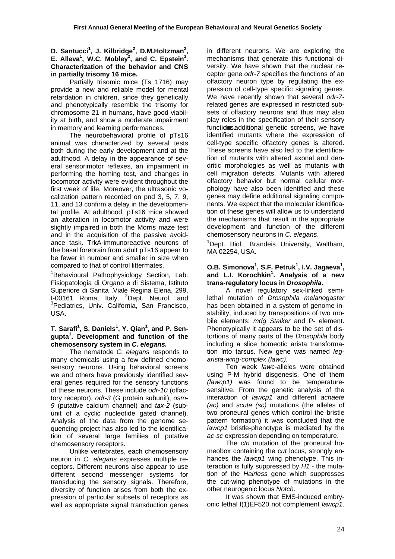#### D. Santucci<sup>1</sup>, J. Kilbridge<sup>2</sup>, D.M.Holtzman<sup>2</sup>, **E.** Alleva<sup>1</sup>, W.C. Mobley<sup>2</sup>, and C. Epstein<sup>3</sup>. **Characterization of the behavior and CNS in partially trisomy 16 mice.**

 Partially trisomic mice (Ts 1716) may provide a new and reliable model for mental retardation in children, since they genetically and phenotypically resemble the trisomy for chromosome 21 in humans, have good viability at birth, and show a moderate impairment in memory and learning performances.

 The neurobehavioral profile of pTs16 animal was characterized by several tests both during the early development and at the adulthood. A delay in the appearance of several sensorimotor reflexes, an impairment in performing the homing test, and changes in locomotor activity were evident throughout the first week of life. Moreover, the ultrasonic vocalization pattern recorded on pnd 3, 5, 7, 9, 11, and 13 confirm a delay in the developmental profile. At adulthood, pTs16 mice showed an alteration in locomotor activity and were slightly impaired in both the Morris maze test and in the acquisition of the passive avoidance task. TrkA-immunoreactive neurons of the basal forebrain from adult pTs16 appear to be fewer in number and smaller in size when compared to that of control littermates.

<sup>1</sup>Behavioural Pathophysiology Section, Lab. Fisiopatologia di Organo e di Sistema, Istituto Superiore di Sanita ,Viale Regina Elena, 299, I-00161 Roma, Italy. <sup>2</sup>Dept. Neurol, and<br><sup>3</sup>Dedictries Univ. Colifornia Sep Erangiace <sup>3</sup>Pediatrics, Univ. California, San Francisco, USA.

# **T. Sarafi1 , S. Daniels<sup>1</sup> , Y. Qian1 , and P. Sengupta<sup>1</sup> . Development and function of the chemosensory system in** *C. elegans.*

 The nematode *C. elegans* responds to many chemicals using a few defined chemosensory neurons. Using behavioral screens we and others have previously identified several genes required for the sensory functions of these neurons. These include *odr-10* (olfactory receptor), *odr-3* (G protein subunit), *osm-9* (putative calcium channel) and *tax-2* (subunit of a cyclic nucleotide gated channel). Analysis of the data from the genome sequencing project has also led to the identification of several large families of putative chemosensory receptors.

 Unlike vertebrates, each chemosensory neuron in *C. elegans* expresses multiple receptors. Different neurons also appear to use different second messenger systems for transducing the sensory signals. Therefore, diversity of function arises from both the expression of particular subsets of receptors as well as appropriate signal transduction genes in different neurons. We are exploring the mechanisms that generate this functional diversity. We have shown that the nuclear receptor gene *odr-7* specifies the functions of an olfactory neuron type by regulating the expression of cell-type specific signaling genes. We have recently shown that several *odr-7* related genes are expressed in restricted subsets of olfactory neurons and thus may also play roles in the specification of their sensory functionsadditional genetic screens, we have identified mutants where the expression of cell-type specific olfactory genes is altered. These screens have also led to the identification of mutants with altered axonal and dendritic morphologies as well as mutants with cell migration defects. Mutants with altered olfactory behavior but normal cellular morphology have also been identified and these genes may define additional signaling components. We expect that the molecular identification of these genes will allow us to understand the mechanisms that result in the appropriate development and function of the different chemosensory neurons in *C. elegans*. 1

<sup>1</sup>Dept. Biol., Brandeis University, Waltham, MA 02254, USA.

#### **O.B. Simonova1 , S.F. Petruk<sup>1</sup> , I.V. Jagaeva<sup>1</sup> , and L.I. Korochkin<sup>1</sup> . Analysis of a new trans-regulatory locus in** *Drosophila***.**

 A novel regulatory sex-linked semilethal mutation of *Drosophila melanogaster* has been obtained in a system of genome instability, induced by transpositions of two mobile elements: *mdg Stalker* and P- element. Phenotypically it appears to be the set of distortions of many parts of the *Drosophila* body including a slice homeotic arista transformation into tarsus. New gene was named *legarista-wing-complex (lawc).*

 Ten week *lawc*-alleles were obtained using P-M hybrid disgenesis. One of them *(lawcp1)* was found to be temperaturesensitive. From the genetic analysis of the interaction of *lawcp1* and different *achaete (ac)* and *scute (sc)* mutations (the alleles of two proneural genes which control the bristle pattern formation) it was concluded that the *lawcp1* bristle-phenotype is mediated by the *ac-sc* expression depending on temperature.

 The *ctn* mutation of the proneural homeobox containing the *cut* locus, strongly enhances the *lawcp1* wing phenotype. This interaction is fully suppressed by *H1* - the mutation of the *Hairless* gene which suppresses the cut-wing phenotype of mutations in the other neurogenic locus *Notch*.

 It was shown that EMS-induced embryonic lethal l(1)EF520 not complement *lawcp1*.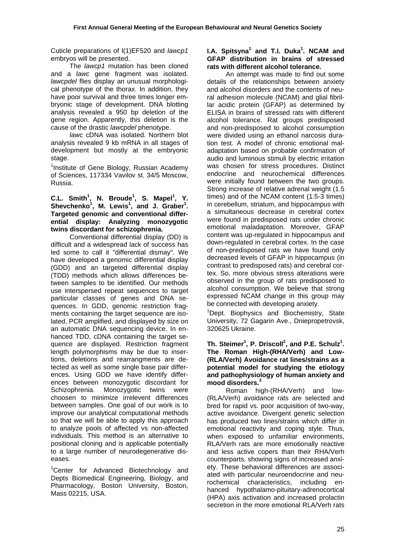Cuticle preparations of l(1)EF520 and *lawcp1*  embryos will be presented.

 The *lawcp1* mutation has been cloned and a *lawc* gene fragment was isolated. *lawcpdel* flies display an unusual morphological phenotype of the thorax. In addition, they have poor survival and three times longer embryonic stage of development. DNA blotting analysis revealed a 950 bp deletion of the gene region. Apparently, this deletion is the cause of the drastic *lawcpdel* phenotype.

*lawc* cDNA was isolated. Northern blot analysis revealed 9 kb mRNA in all stages of development but mostly at the embryonic stage.

<sup>1</sup>Institute of Gene Biology, Russian Academy of Sciences, 117334 Vavilov st. 34/5 Moscow, Russia.

#### **C.L.** Smith<sup>1</sup>, N. Broude<sup>1</sup>, S. Mapel<sup>1</sup>, Y. Shevchenko<sup>1</sup>, M. Lewis<sup>1</sup>, and J. Graber<sup>1</sup>. **Targeted genomic and conventional differential display: Analyzing monozygotic twins discordant for schizophrenia.**

 Conventional differential display (DD) is difficult and a widespread lack of success has led some to call it "differential dismay". We have developed a genomic differential display (GDD) and an targeted differential display (TDD) methods which allows differences between samples to be identified. Our methods use interspersed repeat sequences to target particular classes of genes and DNA sequences. In GDD, genomic restriction fragments containing the target sequence are isolated, PCR amplified, and displayed by size on an automatic DNA sequencing device. In enhanced TDD, cDNA containing the target sequence are displayed. Restriction fragment length polymorphisms may be due to insertions, deletions and rearrangments are detected as well as some single base pair differences. Using GDD we have identify differences between monozygotic discordant for Schizophrenia. Monozygotic twins were choosen to minimize irrelevent differences between samples. One goal of our work is to improve our analytical computational methods so that we will be able to apply this approach to analyze pools of affected vs non-affected individuals. This method is an alternative to positional cloning and is applicable potentially to a large number of neurodegenerative diseases.

<sup>1</sup>Center for Advanced Biotechnology and Depts Biomedical Engineering, Biology, and Pharmacology, Boston University, Boston, Mass 02215, USA.

# **I.A. Spitsyna<sup>1</sup> and T.I. Duka<sup>1</sup> . NCAM and GFAP distribution in brains of stressed rats with different alcohol tolerance.**

 An attempt was made to find out some details of the relationships between anxiety and alcohol disorders and the contents of neural adhesion molecule (NCAM) and glial fibrillar acidic protein (GFAP) as determined by ELISA in brains of stressed rats with different alcohol tolerance. Rat groups predisposed and non-predisposed to alcohol consumption were divided using an ethanol narcosis duration test. A model of chronic emotional maladaptation based on probable confirmation of audio and luminous stimuli by electric irritation was chosen for stress procedures. Distinct endocrine and neurochemical differences were initially found between the two groups. Strong increase of relative adrenal weight (1.5 times) and of the NCAM content (1.5-3 times) in cerebellum, striatum, and hippocampus with a simultaneous decrease in cerebral cortex were found in predisposed rats under chronic emotional maladaptation. Moreover, GFAP content was up-regulated in hippocampus and down-regulated in cerebral cortex. In the case of non-predisposed rats we have found only decreased levels of GFAP in hippocampus (in contrast to predisposed rats) and cerebral cortex. So, more obvious stress alterations were observed in the group of rats predisposed to alcohol consumption. We believe that strong expressed NCAM change in this group may be connected with developing anxiety.

<sup>1</sup>Dept. Biophysics and Biochemistry, State University, 72 Gagarin Ave., Dniepropetrovsk, 320625 Ukraine.

#### Th. Steimer<sup>1</sup>, P. Driscoll<sup>2</sup>, and P.E. Schulz<sup>1</sup>. **The Roman High-(RHA/Verh) and Low- (RLA/Verh) Avoidance rat lines/strains as a potential model for studying the etiology and pathophysiology of human anxiety and mood disorders.3**

 Roman high-(RHA/Verh) and low- (RLA/Verh) avoidance rats are selected and bred for rapid vs. poor acquisition of two-way, active avoidance. Divergent genetic selection has produced two lines/strains which differ in emotional reactivity and coping style. Thus, when exposed to unfamiliar environments, RLA/Verh rats are more emotionally reactive and less active copers than their RHA/Verh counterparts, showing signs of increased anxiety. These behavioral differences are associated with particular neuroendocrine and neurochemical characteristics, including enhanced hypothalamo-pituitary-adrenocortical (HPA) axis activation and increased prolactin secretion in the more emotional RLA/Verh rats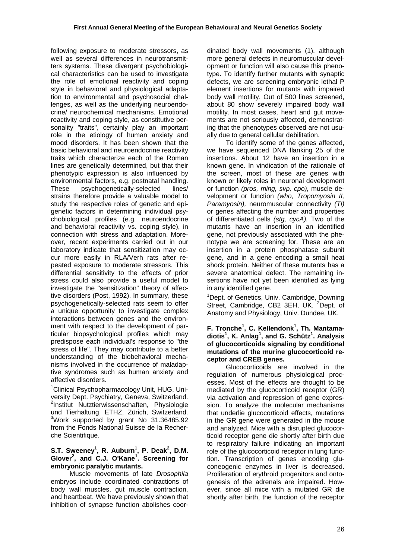following exposure to moderate stressors, as well as several differences in neurotransmitters systems. These divergent psychobiological characteristics can be used to investigate the role of emotional reactivity and coping style in behavioral and physiological adaptation to environmental and psychosocial challenges, as well as the underlying neuroendocrine/ neurochemical mechanisms. Emotional reactivity and coping style, as constitutive personality "traits", certainly play an important role in the etiology of human anxiety and mood disorders. It has been shown that the basic behavioral and neuroendocrine reactivity traits which characterize each of the Roman lines are genetically determined, but that their phenotypic expression is also influenced by environmental factors, e.g. postnatal handling. These psychogenetically-selected lines/ strains therefore provide a valuable model to study the respective roles of genetic and epigenetic factors in determining individual psychobiological profiles (e.g. neuroendocrine and behavioral reactivity vs. coping style), in connection with stress and adaptation. Moreover, recent experiments carried out in our laboratory indicate that sensitization may occur more easily in RLA/Verh rats after repeated exposure to moderate stressors. This differential sensitivity to the effects of prior stress could also provide a useful model to investigate the "sensitization" theory of affective disorders (Post, 1992). In summary, these psychogenetically-selected rats seem to offer a unique opportunity to investigate complex interactions between genes and the environment with respect to the development of particular biopsychological profiles which may predispose each individual's response to "the stress of life". They may contribute to a better understanding of the biobehavioral mechanisms involved in the occurrence of maladaptive syndromes such as human anxiety and affective disorders.

<sup>1</sup>Clinical Psychopharmacology Unit, HUG, University Dept. Psychiatry, Geneva, Switzerland. <sup>2</sup>Institut Nutztierwissenschaften, Physiologie und Tierhaltung, ETHZ, Zürich, Switzerland. 3 Work supported by grant No 31.36485.92 from the Fonds National Suisse de la Recherche Scientifique.

# **S.T. Sweeney<sup>1</sup>, R. Auburn<sup>1</sup>, P. Deak<sup>2</sup>, D.M. Glover2 , and C.J. O'Kane<sup>1</sup> . Screening for embryonic paralytic mutants.**

 Muscle movements of late *Drosophila* embryos include coordinated contractions of body wall muscles, gut muscle contraction, and heartbeat. We have previously shown that inhibition of synapse function abolishes coordinated body wall movements (1), although more general defects in neuromuscular development or function will also cause this phenotype. To identify further mutants with synaptic defects, we are screening embryonic lethal P element insertions for mutants with impaired body wall motility. Out of 500 lines screened, about 80 show severely impaired body wall motility. In most cases, heart and gut movements are not seriously affected, demonstrating that the phenotypes observed are not usually due to general cellular debilitation.

 To identify some of the genes affected, we have sequenced DNA flanking 25 of the insertions. About 12 have an insertion in a known gene. In vindication of the rationale of the screen, most of these are genes with known or likely roles in neuronal development or function *(pros, ming, svp, cpo),* muscle development or function *(who, Tropomyosin II, Paramyosin),* neuromuscular connectivity *(Tl)* or genes affecting the number and properties of differentiated cells *(stg, cycA).* Two of the mutants have an insertion in an identified gene, not previously associated with the phenotype we are screening for. These are an insertion in a protein phosphatase subunit gene, and in a gene encoding a small heat shock protein. Neither of these mutants has a severe anatomical defect. The remaining insertions have not yet been identified as lying in any identified gene.

<sup>1</sup>Dept. of Genetics, Univ. Cambridge, Downing Street, Cambridge, CB2 3EH, UK. <sup>2</sup>Dept. of Anatomy and Physiology, Univ. Dundee, UK.

### **F. Tronche1 , C. Kellendonk<sup>1</sup> , Th. Mantamadiotis<sup>1</sup> , K. Anlag<sup>1</sup> , and G. Schütz<sup>1</sup> . Analysis of glucocorticoids signaling by conditional mutations of the murine glucocorticoid receptor and CREB genes.**

 Glucocorticoids are involved in the regulation of numerous physiological processes. Most of the effects are thought to be mediated by the glucocorticoid receptor (GR) via activation and repression of gene expression. To analyze the molecular mechanisms that underlie glucocorticoid effects, mutations in the GR gene were generated in the mouse and analyzed. Mice with a disrupted glucocorticoid receptor gene die shortly after birth due to respiratory failure indicating an important role of the glucocorticoid receptor in lung function. Transcription of genes encoding gluconeogenic enzymes in liver is decreased. Proliferation of erythroid progenitors and ontogenesis of the adrenals are impaired. However, since all mice with a mutated GR die shortly after birth, the function of the receptor